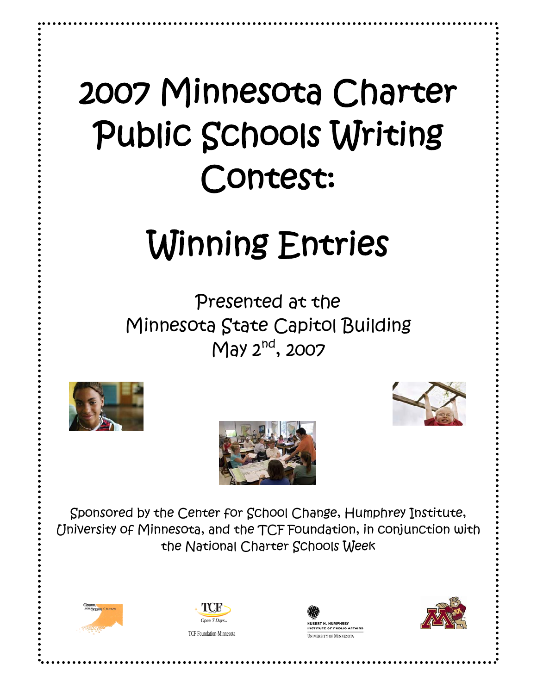## 2007 Minnesota Charter  $\overline{a}$  Public Schools Writing Contest:

# Winning Entries

 $\overline{a}$  Presented at the Minnesota State Capitol Building May  $2^{nd}$ , 2007







 $\overline{\phantom{a}}$  University of Minnesota, and the TCF Foundation, in conjunction with the National Charter Schools Week Sponsored by the Center for School Change, Humphrey Institute,





TCF Foundation-Minnesota



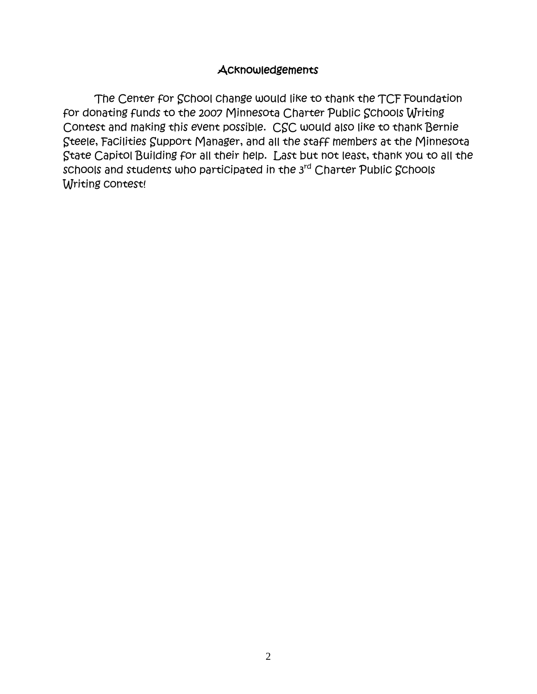## **Acknowledgements**

The Center for School change would like to thank the TCF Foundation for donating funds to the 2007 Minnesota Charter Public Schools Writing Contest and making this event possible. CSC would also like to thank Bernie Steele, Facilities Support Manager, and all the staff members at the Minnesota State Capitol Building for all their help. Last but not least, thank you to all the schools and students who participated in the 3rd Charter Public Schools Writing contest!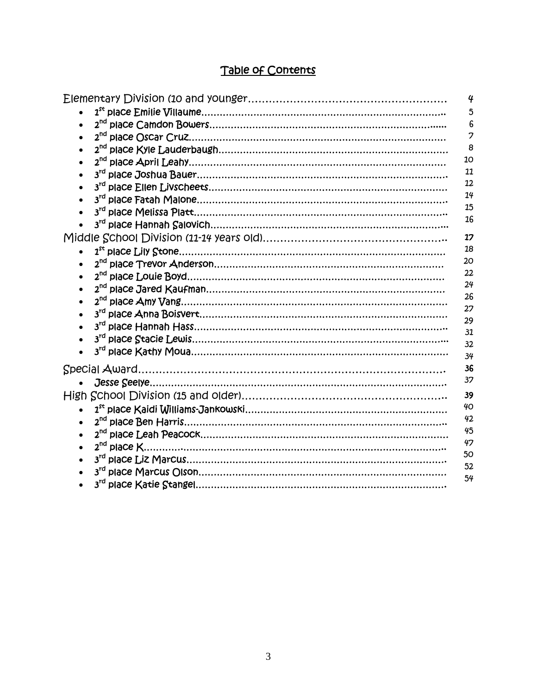| $\overline{4}$ |
|----------------|
| 5              |
| 6              |
| 7              |
| 8              |
| 10             |
| 11             |
| 12             |
| 14             |
| 15             |
| 16             |
| 17             |
| 18             |
| 20             |
| 22             |
| 24             |
| 26             |
| 27             |
| 29             |
| 31             |
| 32             |
| 34             |
| 36             |
| 37             |
| 39             |
| 40             |
| 42             |
| 45             |
| 47             |
| 50             |
| 52             |
| 54             |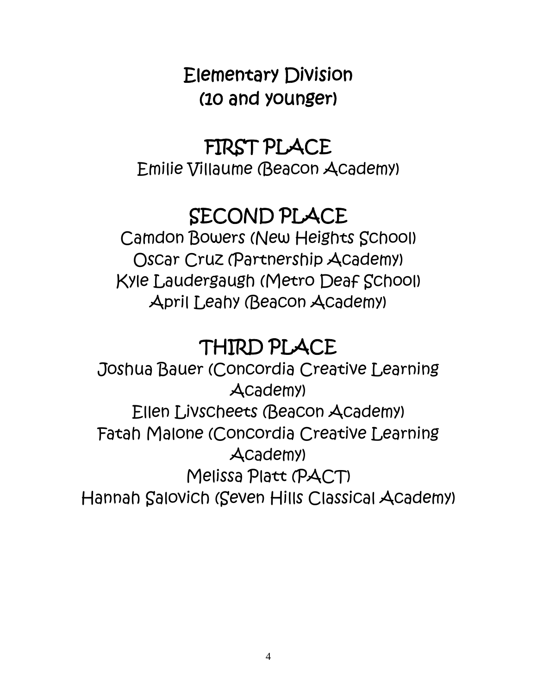## Elementary Division (10 and younger)

## FIRST PLACE

Emilie Villaume (Beacon Academy)

## SECOND PLACE

Camdon Bowers (New Heights School) Oscar Cruz (Partnership Academy) Kyle Laudergaugh (Metro Deaf School) April Leahy (Beacon Academy)

## THIRD PLACE

Joshua Bauer (Concordia Creative Learning Academy) Ellen Livscheets (Beacon Academy) Fatah Malone (Concordia Creative Learning Academy) Melissa Platt (PACT) Hannah Salovich (Seven Hills Classical Academy)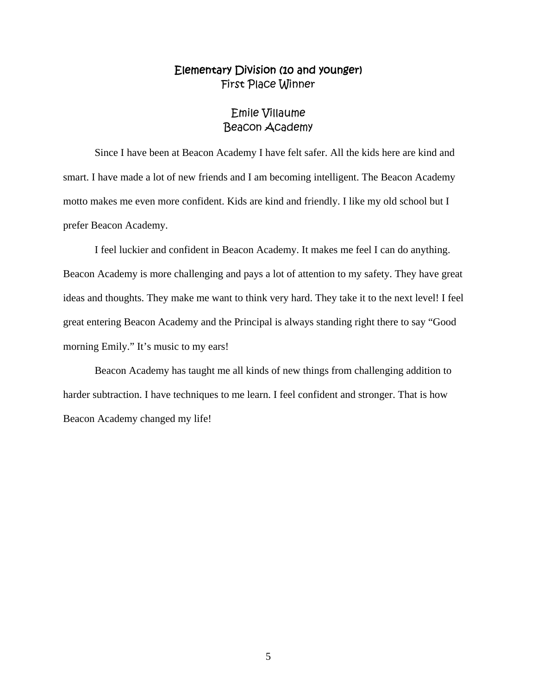## Emile Villaume Beacon Academy

Since I have been at Beacon Academy I have felt safer. All the kids here are kind and smart. I have made a lot of new friends and I am becoming intelligent. The Beacon Academy motto makes me even more confident. Kids are kind and friendly. I like my old school but I prefer Beacon Academy.

 I feel luckier and confident in Beacon Academy. It makes me feel I can do anything. Beacon Academy is more challenging and pays a lot of attention to my safety. They have great ideas and thoughts. They make me want to think very hard. They take it to the next level! I feel great entering Beacon Academy and the Principal is always standing right there to say "Good morning Emily." It's music to my ears!

 Beacon Academy has taught me all kinds of new things from challenging addition to harder subtraction. I have techniques to me learn. I feel confident and stronger. That is how Beacon Academy changed my life!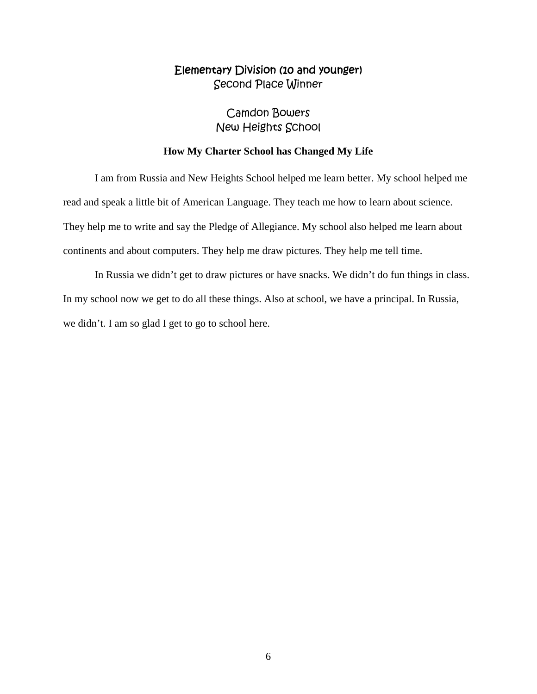## Camdon Bowers New Heights School

#### **How My Charter School has Changed My Life**

 I am from Russia and New Heights School helped me learn better. My school helped me read and speak a little bit of American Language. They teach me how to learn about science. They help me to write and say the Pledge of Allegiance. My school also helped me learn about continents and about computers. They help me draw pictures. They help me tell time.

 In Russia we didn't get to draw pictures or have snacks. We didn't do fun things in class. In my school now we get to do all these things. Also at school, we have a principal. In Russia, we didn't. I am so glad I get to go to school here.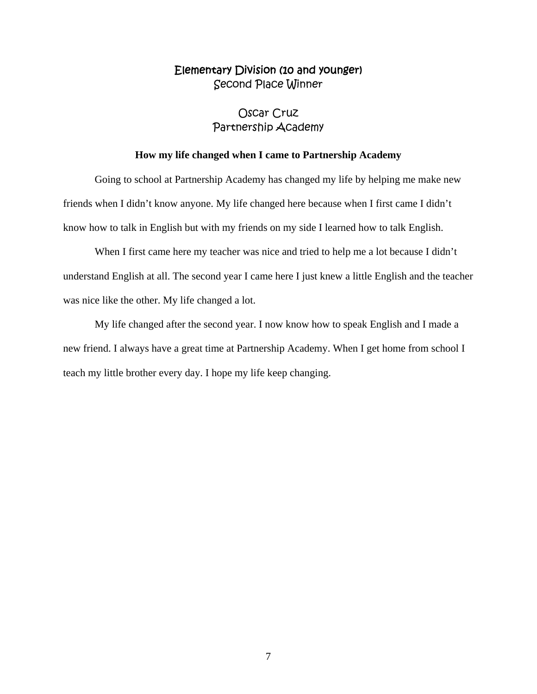## Oscar Cruz Partnership Academy

#### **How my life changed when I came to Partnership Academy**

 Going to school at Partnership Academy has changed my life by helping me make new friends when I didn't know anyone. My life changed here because when I first came I didn't know how to talk in English but with my friends on my side I learned how to talk English.

 When I first came here my teacher was nice and tried to help me a lot because I didn't understand English at all. The second year I came here I just knew a little English and the teacher was nice like the other. My life changed a lot.

 My life changed after the second year. I now know how to speak English and I made a new friend. I always have a great time at Partnership Academy. When I get home from school I teach my little brother every day. I hope my life keep changing.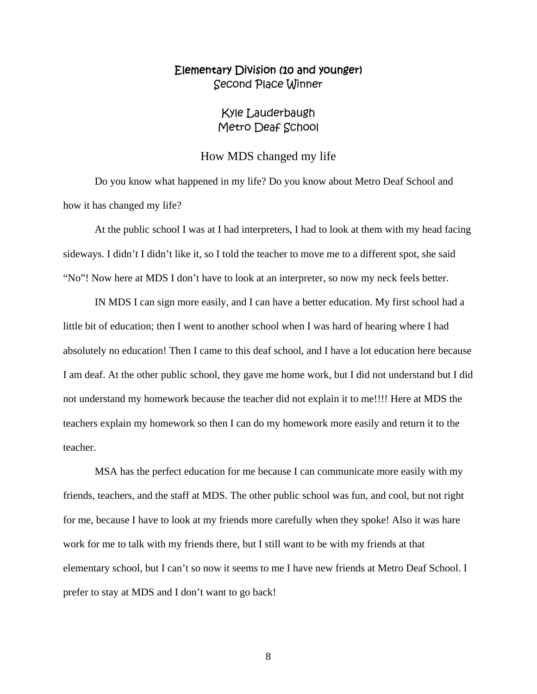### Kyle Lauderbaugh Metro Deaf School

#### How MDS changed my life

Do you know what happened in my life? Do you know about Metro Deaf School and how it has changed my life?

 At the public school I was at I had interpreters, I had to look at them with my head facing sideways. I didn't I didn't like it, so I told the teacher to move me to a different spot, she said "No"! Now here at MDS I don't have to look at an interpreter, so now my neck feels better.

 IN MDS I can sign more easily, and I can have a better education. My first school had a little bit of education; then I went to another school when I was hard of hearing where I had absolutely no education! Then I came to this deaf school, and I have a lot education here because I am deaf. At the other public school, they gave me home work, but I did not understand but I did not understand my homework because the teacher did not explain it to me!!!! Here at MDS the teachers explain my homework so then I can do my homework more easily and return it to the teacher.

 MSA has the perfect education for me because I can communicate more easily with my friends, teachers, and the staff at MDS. The other public school was fun, and cool, but not right for me, because I have to look at my friends more carefully when they spoke! Also it was hare work for me to talk with my friends there, but I still want to be with my friends at that elementary school, but I can't so now it seems to me I have new friends at Metro Deaf School. I prefer to stay at MDS and I don't want to go back!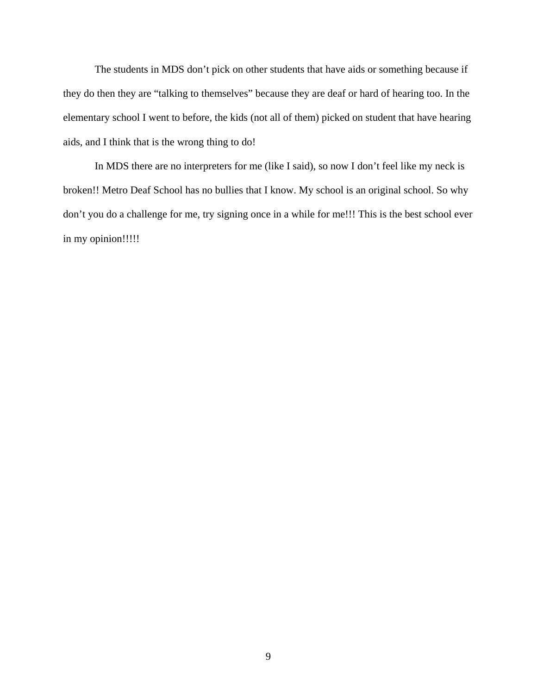The students in MDS don't pick on other students that have aids or something because if they do then they are "talking to themselves" because they are deaf or hard of hearing too. In the elementary school I went to before, the kids (not all of them) picked on student that have hearing aids, and I think that is the wrong thing to do!

 In MDS there are no interpreters for me (like I said), so now I don't feel like my neck is broken!! Metro Deaf School has no bullies that I know. My school is an original school. So why don't you do a challenge for me, try signing once in a while for me!!! This is the best school ever in my opinion!!!!!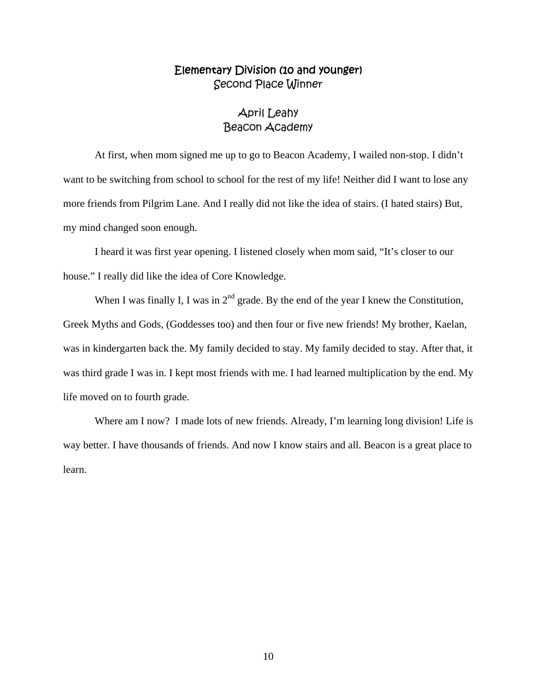## April Leahy Beacon Academy

At first, when mom signed me up to go to Beacon Academy, I wailed non-stop. I didn't want to be switching from school to school for the rest of my life! Neither did I want to lose any more friends from Pilgrim Lane. And I really did not like the idea of stairs. (I hated stairs) But, my mind changed soon enough.

 I heard it was first year opening. I listened closely when mom said, "It's closer to our house." I really did like the idea of Core Knowledge.

When I was finally I, I was in  $2<sup>nd</sup>$  grade. By the end of the year I knew the Constitution, Greek Myths and Gods, (Goddesses too) and then four or five new friends! My brother, Kaelan, was in kindergarten back the. My family decided to stay. My family decided to stay. After that, it was third grade I was in. I kept most friends with me. I had learned multiplication by the end. My life moved on to fourth grade.

Where am I now? I made lots of new friends. Already, I'm learning long division! Life is way better. I have thousands of friends. And now I know stairs and all. Beacon is a great place to learn.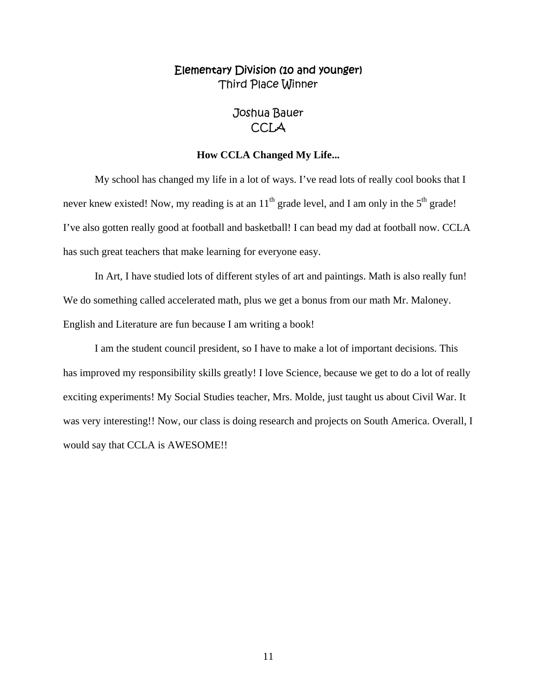## Joshua Bauer **CCLA**

#### **How CCLA Changed My Life...**

My school has changed my life in a lot of ways. I've read lots of really cool books that I never knew existed! Now, my reading is at an  $11<sup>th</sup>$  grade level, and I am only in the  $5<sup>th</sup>$  grade! I've also gotten really good at football and basketball! I can bead my dad at football now. CCLA has such great teachers that make learning for everyone easy.

 In Art, I have studied lots of different styles of art and paintings. Math is also really fun! We do something called accelerated math, plus we get a bonus from our math Mr. Maloney. English and Literature are fun because I am writing a book!

 I am the student council president, so I have to make a lot of important decisions. This has improved my responsibility skills greatly! I love Science, because we get to do a lot of really exciting experiments! My Social Studies teacher, Mrs. Molde, just taught us about Civil War. It was very interesting!! Now, our class is doing research and projects on South America. Overall, I would say that CCLA is AWESOME!!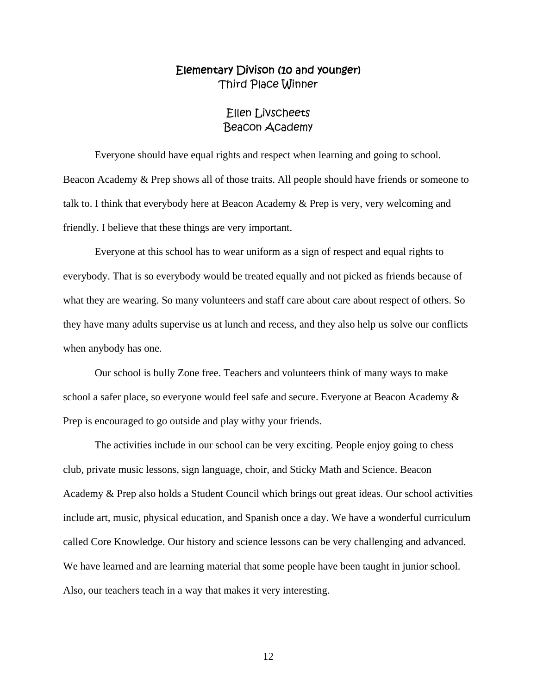### Ellen Livscheets Beacon Academy

Everyone should have equal rights and respect when learning and going to school. Beacon Academy & Prep shows all of those traits. All people should have friends or someone to talk to. I think that everybody here at Beacon Academy & Prep is very, very welcoming and friendly. I believe that these things are very important.

 Everyone at this school has to wear uniform as a sign of respect and equal rights to everybody. That is so everybody would be treated equally and not picked as friends because of what they are wearing. So many volunteers and staff care about care about respect of others. So they have many adults supervise us at lunch and recess, and they also help us solve our conflicts when anybody has one.

 Our school is bully Zone free. Teachers and volunteers think of many ways to make school a safer place, so everyone would feel safe and secure. Everyone at Beacon Academy & Prep is encouraged to go outside and play withy your friends.

 The activities include in our school can be very exciting. People enjoy going to chess club, private music lessons, sign language, choir, and Sticky Math and Science. Beacon Academy & Prep also holds a Student Council which brings out great ideas. Our school activities include art, music, physical education, and Spanish once a day. We have a wonderful curriculum called Core Knowledge. Our history and science lessons can be very challenging and advanced. We have learned and are learning material that some people have been taught in junior school. Also, our teachers teach in a way that makes it very interesting.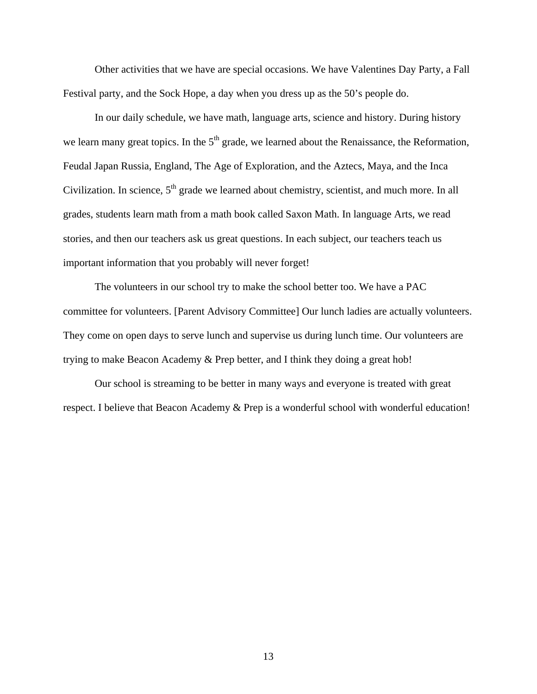Other activities that we have are special occasions. We have Valentines Day Party, a Fall Festival party, and the Sock Hope, a day when you dress up as the 50's people do.

 In our daily schedule, we have math, language arts, science and history. During history we learn many great topics. In the  $5<sup>th</sup>$  grade, we learned about the Renaissance, the Reformation, Feudal Japan Russia, England, The Age of Exploration, and the Aztecs, Maya, and the Inca Civilization. In science, 5<sup>th</sup> grade we learned about chemistry, scientist, and much more. In all grades, students learn math from a math book called Saxon Math. In language Arts, we read stories, and then our teachers ask us great questions. In each subject, our teachers teach us important information that you probably will never forget!

 The volunteers in our school try to make the school better too. We have a PAC committee for volunteers. [Parent Advisory Committee] Our lunch ladies are actually volunteers. They come on open days to serve lunch and supervise us during lunch time. Our volunteers are trying to make Beacon Academy & Prep better, and I think they doing a great hob!

 Our school is streaming to be better in many ways and everyone is treated with great respect. I believe that Beacon Academy & Prep is a wonderful school with wonderful education!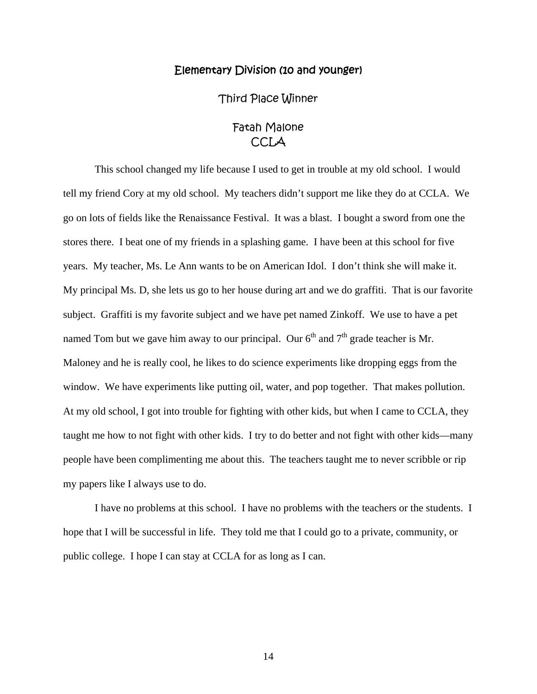#### Elementary Division (10 and younger)

Third Place Winner

## Fatah Malone CCLA

 This school changed my life because I used to get in trouble at my old school. I would tell my friend Cory at my old school. My teachers didn't support me like they do at CCLA. We go on lots of fields like the Renaissance Festival. It was a blast. I bought a sword from one the stores there. I beat one of my friends in a splashing game. I have been at this school for five years. My teacher, Ms. Le Ann wants to be on American Idol. I don't think she will make it. My principal Ms. D, she lets us go to her house during art and we do graffiti. That is our favorite subject. Graffiti is my favorite subject and we have pet named Zinkoff. We use to have a pet named Tom but we gave him away to our principal. Our  $6<sup>th</sup>$  and  $7<sup>th</sup>$  grade teacher is Mr. Maloney and he is really cool, he likes to do science experiments like dropping eggs from the window. We have experiments like putting oil, water, and pop together. That makes pollution. At my old school, I got into trouble for fighting with other kids, but when I came to CCLA, they taught me how to not fight with other kids. I try to do better and not fight with other kids—many people have been complimenting me about this. The teachers taught me to never scribble or rip my papers like I always use to do.

 I have no problems at this school. I have no problems with the teachers or the students. I hope that I will be successful in life. They told me that I could go to a private, community, or public college. I hope I can stay at CCLA for as long as I can.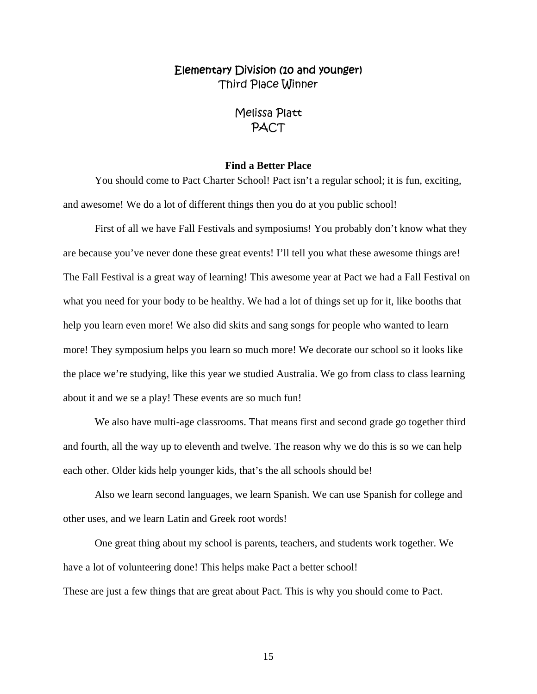## Melissa Platt PACT

#### **Find a Better Place**

You should come to Pact Charter School! Pact isn't a regular school; it is fun, exciting, and awesome! We do a lot of different things then you do at you public school!

 First of all we have Fall Festivals and symposiums! You probably don't know what they are because you've never done these great events! I'll tell you what these awesome things are! The Fall Festival is a great way of learning! This awesome year at Pact we had a Fall Festival on what you need for your body to be healthy. We had a lot of things set up for it, like booths that help you learn even more! We also did skits and sang songs for people who wanted to learn more! They symposium helps you learn so much more! We decorate our school so it looks like the place we're studying, like this year we studied Australia. We go from class to class learning about it and we se a play! These events are so much fun!

We also have multi-age classrooms. That means first and second grade go together third and fourth, all the way up to eleventh and twelve. The reason why we do this is so we can help each other. Older kids help younger kids, that's the all schools should be!

Also we learn second languages, we learn Spanish. We can use Spanish for college and other uses, and we learn Latin and Greek root words!

One great thing about my school is parents, teachers, and students work together. We have a lot of volunteering done! This helps make Pact a better school! These are just a few things that are great about Pact. This is why you should come to Pact.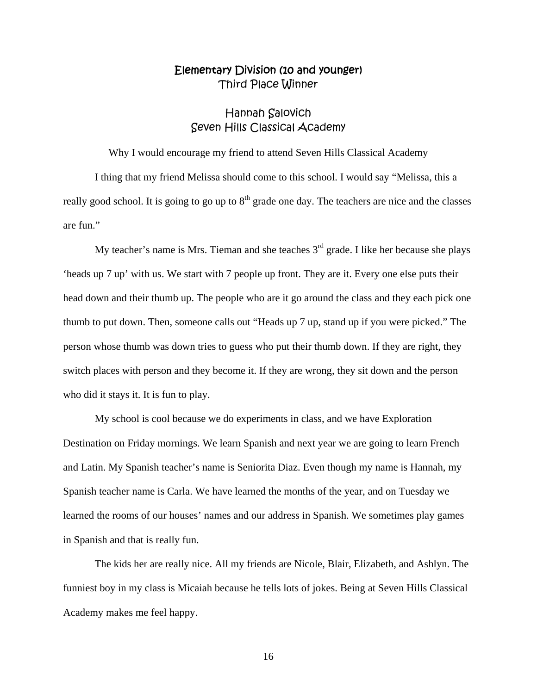## Hannah Salovich Seven Hills Classical Academy

Why I would encourage my friend to attend Seven Hills Classical Academy

 I thing that my friend Melissa should come to this school. I would say "Melissa, this a really good school. It is going to go up to  $8<sup>th</sup>$  grade one day. The teachers are nice and the classes are fun."

My teacher's name is Mrs. Tieman and she teaches  $3<sup>rd</sup>$  grade. I like her because she plays 'heads up 7 up' with us. We start with 7 people up front. They are it. Every one else puts their head down and their thumb up. The people who are it go around the class and they each pick one thumb to put down. Then, someone calls out "Heads up 7 up, stand up if you were picked." The person whose thumb was down tries to guess who put their thumb down. If they are right, they switch places with person and they become it. If they are wrong, they sit down and the person who did it stays it. It is fun to play.

 My school is cool because we do experiments in class, and we have Exploration Destination on Friday mornings. We learn Spanish and next year we are going to learn French and Latin. My Spanish teacher's name is Seniorita Diaz. Even though my name is Hannah, my Spanish teacher name is Carla. We have learned the months of the year, and on Tuesday we learned the rooms of our houses' names and our address in Spanish. We sometimes play games in Spanish and that is really fun.

 The kids her are really nice. All my friends are Nicole, Blair, Elizabeth, and Ashlyn. The funniest boy in my class is Micaiah because he tells lots of jokes. Being at Seven Hills Classical Academy makes me feel happy.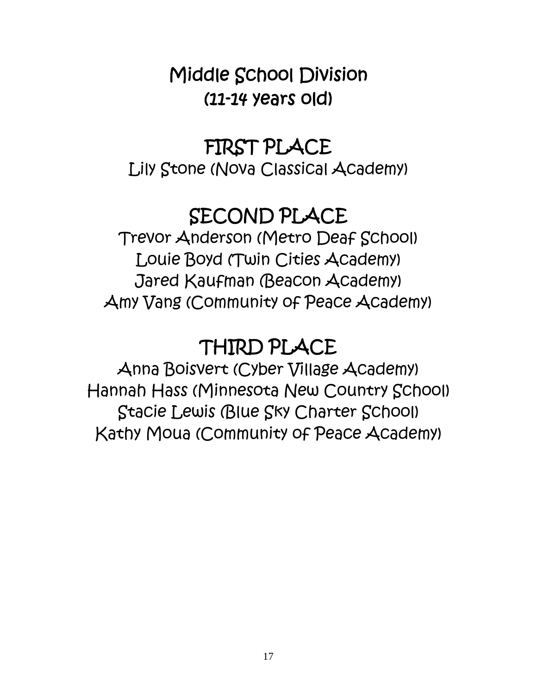## Middle School Division (11-14 years old)

## FIRST PLACE

Lily Stone (Nova Classical Academy)

## SECOND PLACE

Trevor Anderson (Metro Deaf School) Louie Boyd (Twin Cities Academy) Jared Kaufman (Beacon Academy) Amy Vang (Community of Peace Academy)

## THIRD PLACE

Anna Boisvert (Cyber Village Academy) Hannah Hass (Minnesota New Country School) Stacie Lewis (Blue Sky Charter School) Kathy Moua (Community of Peace Academy)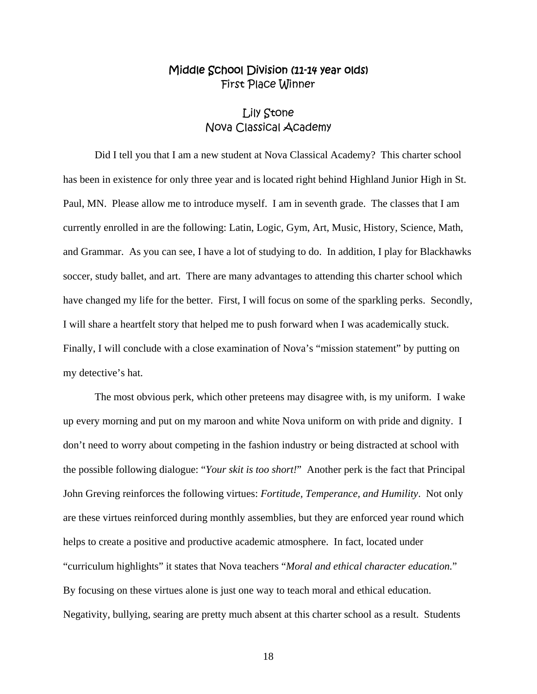## Middle School Division (11-14 year olds) First Place Winner

## Lily Stone Nova Classical Academy

 Did I tell you that I am a new student at Nova Classical Academy? This charter school has been in existence for only three year and is located right behind Highland Junior High in St. Paul, MN. Please allow me to introduce myself. I am in seventh grade. The classes that I am currently enrolled in are the following: Latin, Logic, Gym, Art, Music, History, Science, Math, and Grammar. As you can see, I have a lot of studying to do. In addition, I play for Blackhawks soccer, study ballet, and art. There are many advantages to attending this charter school which have changed my life for the better. First, I will focus on some of the sparkling perks. Secondly, I will share a heartfelt story that helped me to push forward when I was academically stuck. Finally, I will conclude with a close examination of Nova's "mission statement" by putting on my detective's hat.

 The most obvious perk, which other preteens may disagree with, is my uniform. I wake up every morning and put on my maroon and white Nova uniform on with pride and dignity. I don't need to worry about competing in the fashion industry or being distracted at school with the possible following dialogue: "*Your skit is too short!*" Another perk is the fact that Principal John Greving reinforces the following virtues: *Fortitude, Temperance, and Humility*. Not only are these virtues reinforced during monthly assemblies, but they are enforced year round which helps to create a positive and productive academic atmosphere. In fact, located under "curriculum highlights" it states that Nova teachers "*Moral and ethical character education.*" By focusing on these virtues alone is just one way to teach moral and ethical education. Negativity, bullying, searing are pretty much absent at this charter school as a result. Students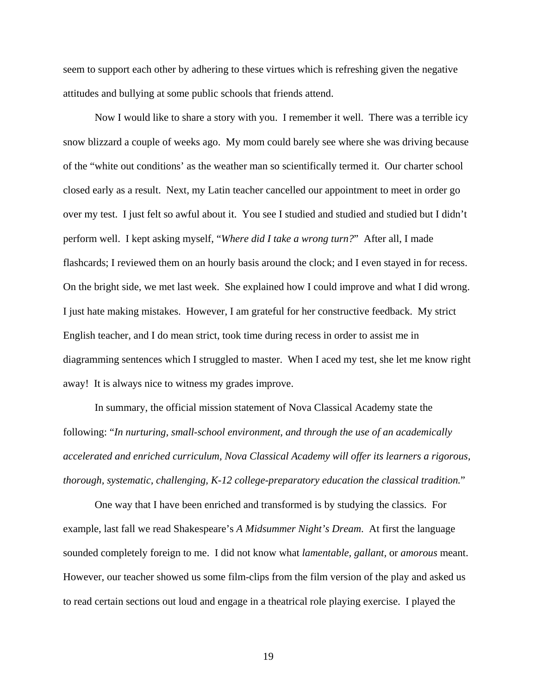seem to support each other by adhering to these virtues which is refreshing given the negative attitudes and bullying at some public schools that friends attend.

 Now I would like to share a story with you. I remember it well. There was a terrible icy snow blizzard a couple of weeks ago. My mom could barely see where she was driving because of the "white out conditions' as the weather man so scientifically termed it. Our charter school closed early as a result. Next, my Latin teacher cancelled our appointment to meet in order go over my test. I just felt so awful about it. You see I studied and studied and studied but I didn't perform well. I kept asking myself, "*Where did I take a wrong turn?*" After all, I made flashcards; I reviewed them on an hourly basis around the clock; and I even stayed in for recess. On the bright side, we met last week. She explained how I could improve and what I did wrong. I just hate making mistakes. However, I am grateful for her constructive feedback. My strict English teacher, and I do mean strict, took time during recess in order to assist me in diagramming sentences which I struggled to master. When I aced my test, she let me know right away! It is always nice to witness my grades improve.

 In summary, the official mission statement of Nova Classical Academy state the following: "*In nurturing, small-school environment, and through the use of an academically accelerated and enriched curriculum, Nova Classical Academy will offer its learners a rigorous, thorough, systematic, challenging, K-12 college-preparatory education the classical tradition.*"

 One way that I have been enriched and transformed is by studying the classics. For example, last fall we read Shakespeare's *A Midsummer Night's Dream*. At first the language sounded completely foreign to me. I did not know what *lamentable, gallant,* or *amorous* meant. However, our teacher showed us some film-clips from the film version of the play and asked us to read certain sections out loud and engage in a theatrical role playing exercise. I played the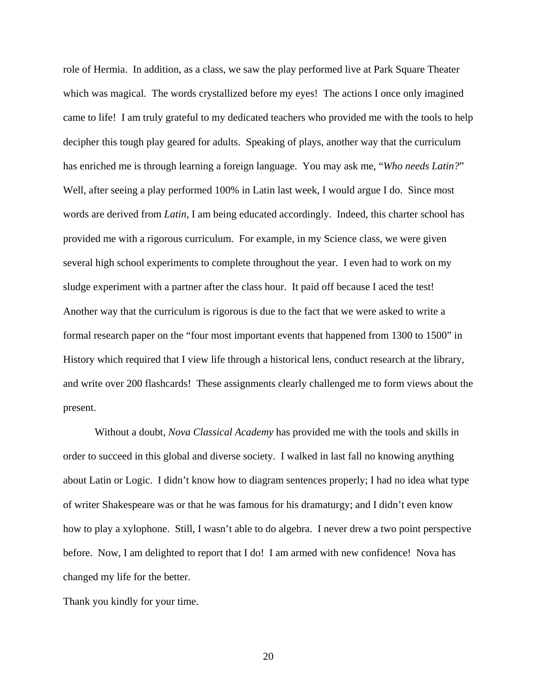role of Hermia. In addition, as a class, we saw the play performed live at Park Square Theater which was magical. The words crystallized before my eyes! The actions I once only imagined came to life! I am truly grateful to my dedicated teachers who provided me with the tools to help decipher this tough play geared for adults. Speaking of plays, another way that the curriculum has enriched me is through learning a foreign language. You may ask me, "*Who needs Latin?*" Well, after seeing a play performed 100% in Latin last week, I would argue I do. Since most words are derived from *Latin*, I am being educated accordingly. Indeed, this charter school has provided me with a rigorous curriculum. For example, in my Science class, we were given several high school experiments to complete throughout the year. I even had to work on my sludge experiment with a partner after the class hour. It paid off because I aced the test! Another way that the curriculum is rigorous is due to the fact that we were asked to write a formal research paper on the "four most important events that happened from 1300 to 1500" in History which required that I view life through a historical lens, conduct research at the library, and write over 200 flashcards! These assignments clearly challenged me to form views about the present.

 Without a doubt, *Nova Classical Academy* has provided me with the tools and skills in order to succeed in this global and diverse society. I walked in last fall no knowing anything about Latin or Logic. I didn't know how to diagram sentences properly; I had no idea what type of writer Shakespeare was or that he was famous for his dramaturgy; and I didn't even know how to play a xylophone. Still, I wasn't able to do algebra. I never drew a two point perspective before. Now, I am delighted to report that I do! I am armed with new confidence! Nova has changed my life for the better.

Thank you kindly for your time.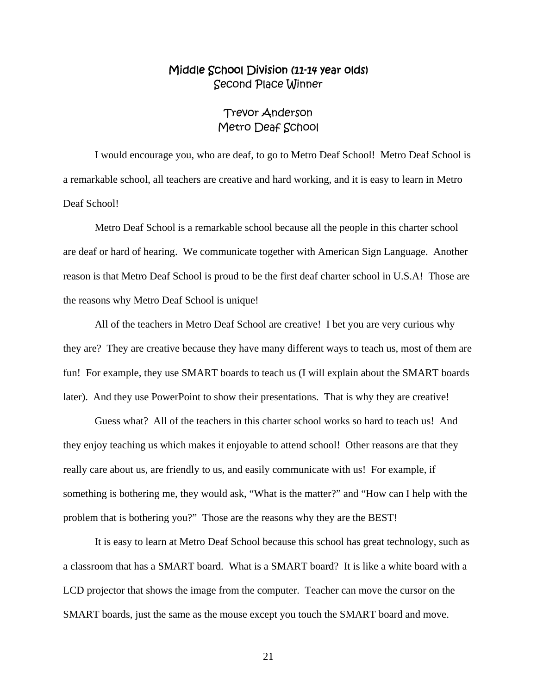## Middle School Division (11-14 year olds) Second Place Winner

## Trevor Anderson Metro Deaf School

 I would encourage you, who are deaf, to go to Metro Deaf School! Metro Deaf School is a remarkable school, all teachers are creative and hard working, and it is easy to learn in Metro Deaf School!

 Metro Deaf School is a remarkable school because all the people in this charter school are deaf or hard of hearing. We communicate together with American Sign Language. Another reason is that Metro Deaf School is proud to be the first deaf charter school in U.S.A! Those are the reasons why Metro Deaf School is unique!

 All of the teachers in Metro Deaf School are creative! I bet you are very curious why they are? They are creative because they have many different ways to teach us, most of them are fun! For example, they use SMART boards to teach us (I will explain about the SMART boards later). And they use PowerPoint to show their presentations. That is why they are creative!

 Guess what? All of the teachers in this charter school works so hard to teach us! And they enjoy teaching us which makes it enjoyable to attend school! Other reasons are that they really care about us, are friendly to us, and easily communicate with us! For example, if something is bothering me, they would ask, "What is the matter?" and "How can I help with the problem that is bothering you?" Those are the reasons why they are the BEST!

 It is easy to learn at Metro Deaf School because this school has great technology, such as a classroom that has a SMART board. What is a SMART board? It is like a white board with a LCD projector that shows the image from the computer. Teacher can move the cursor on the SMART boards, just the same as the mouse except you touch the SMART board and move.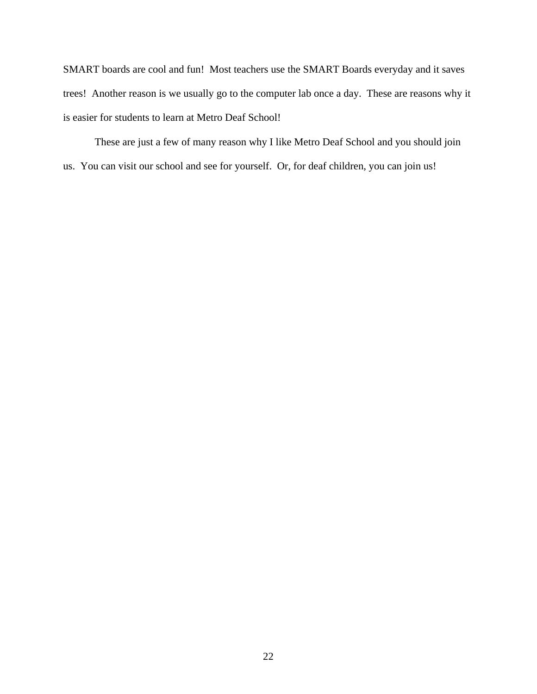SMART boards are cool and fun! Most teachers use the SMART Boards everyday and it saves trees! Another reason is we usually go to the computer lab once a day. These are reasons why it is easier for students to learn at Metro Deaf School!

 These are just a few of many reason why I like Metro Deaf School and you should join us. You can visit our school and see for yourself. Or, for deaf children, you can join us!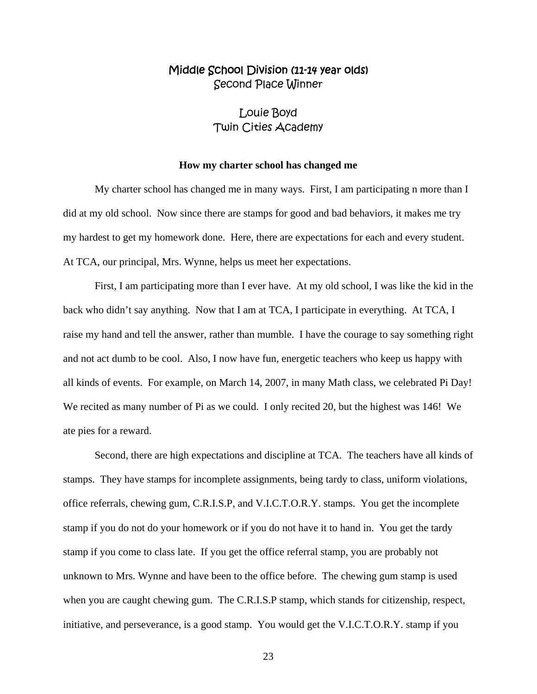## Middle School Division (11-14 year olds) Second Place Winner

## Louie Boyd Twin Cities Academy

#### **How my charter school has changed me**

 My charter school has changed me in many ways. First, I am participating n more than I did at my old school. Now since there are stamps for good and bad behaviors, it makes me try my hardest to get my homework done. Here, there are expectations for each and every student. At TCA, our principal, Mrs. Wynne, helps us meet her expectations.

 First, I am participating more than I ever have. At my old school, I was like the kid in the back who didn't say anything. Now that I am at TCA, I participate in everything. At TCA, I raise my hand and tell the answer, rather than mumble. I have the courage to say something right and not act dumb to be cool. Also, I now have fun, energetic teachers who keep us happy with all kinds of events. For example, on March 14, 2007, in many Math class, we celebrated Pi Day! We recited as many number of Pi as we could. I only recited 20, but the highest was 146! We ate pies for a reward.

 Second, there are high expectations and discipline at TCA. The teachers have all kinds of stamps. They have stamps for incomplete assignments, being tardy to class, uniform violations, office referrals, chewing gum, C.R.I.S.P, and V.I.C.T.O.R.Y. stamps. You get the incomplete stamp if you do not do your homework or if you do not have it to hand in. You get the tardy stamp if you come to class late. If you get the office referral stamp, you are probably not unknown to Mrs. Wynne and have been to the office before. The chewing gum stamp is used when you are caught chewing gum. The C.R.I.S.P stamp, which stands for citizenship, respect, initiative, and perseverance, is a good stamp. You would get the V.I.C.T.O.R.Y. stamp if you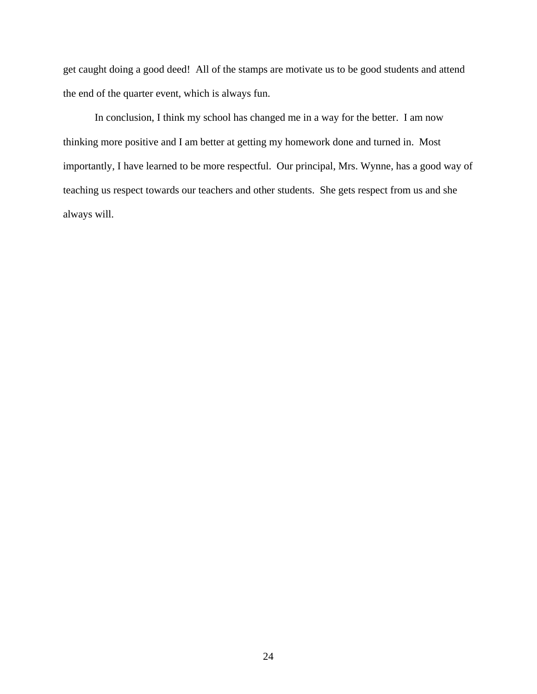get caught doing a good deed! All of the stamps are motivate us to be good students and attend the end of the quarter event, which is always fun.

 In conclusion, I think my school has changed me in a way for the better. I am now thinking more positive and I am better at getting my homework done and turned in. Most importantly, I have learned to be more respectful. Our principal, Mrs. Wynne, has a good way of teaching us respect towards our teachers and other students. She gets respect from us and she always will.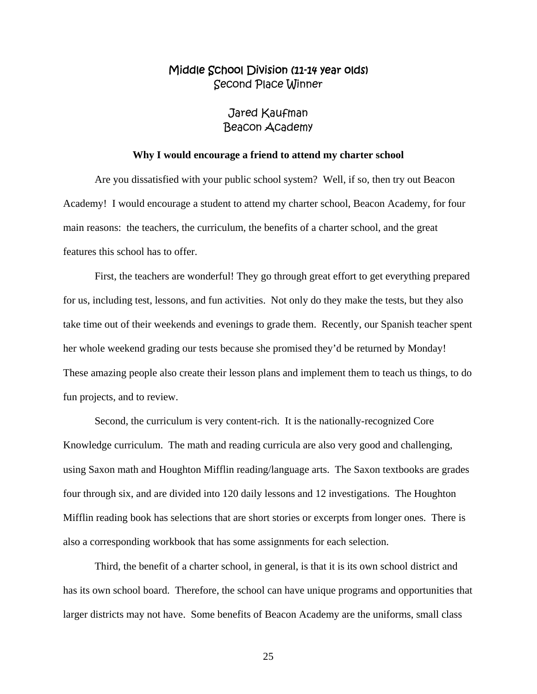## Middle School Division (11-14 year olds) Second Place Winner

### Jared Kaufman Beacon Academy

#### **Why I would encourage a friend to attend my charter school**

 Are you dissatisfied with your public school system? Well, if so, then try out Beacon Academy! I would encourage a student to attend my charter school, Beacon Academy, for four main reasons: the teachers, the curriculum, the benefits of a charter school, and the great features this school has to offer.

 First, the teachers are wonderful! They go through great effort to get everything prepared for us, including test, lessons, and fun activities. Not only do they make the tests, but they also take time out of their weekends and evenings to grade them. Recently, our Spanish teacher spent her whole weekend grading our tests because she promised they'd be returned by Monday! These amazing people also create their lesson plans and implement them to teach us things, to do fun projects, and to review.

 Second, the curriculum is very content-rich. It is the nationally-recognized Core Knowledge curriculum. The math and reading curricula are also very good and challenging, using Saxon math and Houghton Mifflin reading/language arts. The Saxon textbooks are grades four through six, and are divided into 120 daily lessons and 12 investigations. The Houghton Mifflin reading book has selections that are short stories or excerpts from longer ones. There is also a corresponding workbook that has some assignments for each selection.

 Third, the benefit of a charter school, in general, is that it is its own school district and has its own school board. Therefore, the school can have unique programs and opportunities that larger districts may not have. Some benefits of Beacon Academy are the uniforms, small class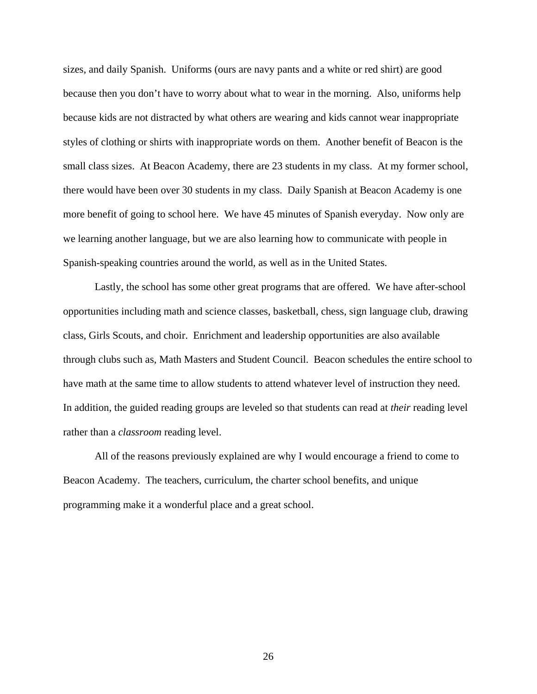sizes, and daily Spanish. Uniforms (ours are navy pants and a white or red shirt) are good because then you don't have to worry about what to wear in the morning. Also, uniforms help because kids are not distracted by what others are wearing and kids cannot wear inappropriate styles of clothing or shirts with inappropriate words on them. Another benefit of Beacon is the small class sizes. At Beacon Academy, there are 23 students in my class. At my former school, there would have been over 30 students in my class. Daily Spanish at Beacon Academy is one more benefit of going to school here. We have 45 minutes of Spanish everyday. Now only are we learning another language, but we are also learning how to communicate with people in Spanish-speaking countries around the world, as well as in the United States.

 Lastly, the school has some other great programs that are offered. We have after-school opportunities including math and science classes, basketball, chess, sign language club, drawing class, Girls Scouts, and choir. Enrichment and leadership opportunities are also available through clubs such as, Math Masters and Student Council. Beacon schedules the entire school to have math at the same time to allow students to attend whatever level of instruction they need. In addition, the guided reading groups are leveled so that students can read at *their* reading level rather than a *classroom* reading level.

 All of the reasons previously explained are why I would encourage a friend to come to Beacon Academy. The teachers, curriculum, the charter school benefits, and unique programming make it a wonderful place and a great school.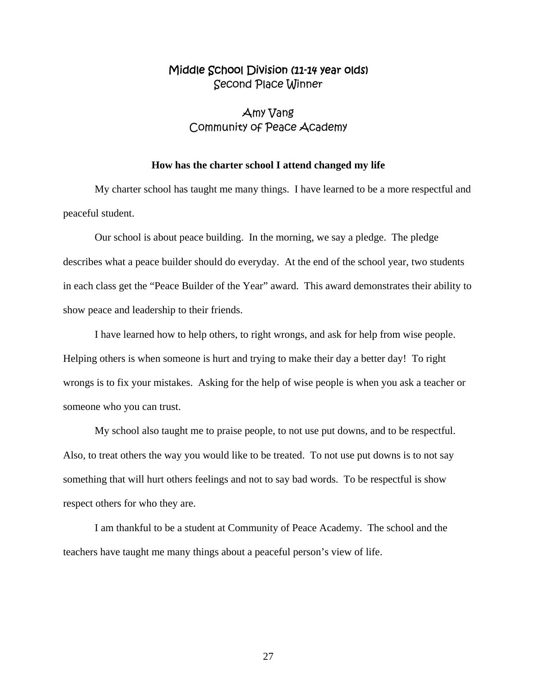## Middle School Division (11-14 year olds) Second Place Winner

## Amy Vang Community of Peace Academy

#### **How has the charter school I attend changed my life**

 My charter school has taught me many things. I have learned to be a more respectful and peaceful student.

 Our school is about peace building. In the morning, we say a pledge. The pledge describes what a peace builder should do everyday. At the end of the school year, two students in each class get the "Peace Builder of the Year" award. This award demonstrates their ability to show peace and leadership to their friends.

 I have learned how to help others, to right wrongs, and ask for help from wise people. Helping others is when someone is hurt and trying to make their day a better day! To right wrongs is to fix your mistakes. Asking for the help of wise people is when you ask a teacher or someone who you can trust.

 My school also taught me to praise people, to not use put downs, and to be respectful. Also, to treat others the way you would like to be treated. To not use put downs is to not say something that will hurt others feelings and not to say bad words. To be respectful is show respect others for who they are.

 I am thankful to be a student at Community of Peace Academy. The school and the teachers have taught me many things about a peaceful person's view of life.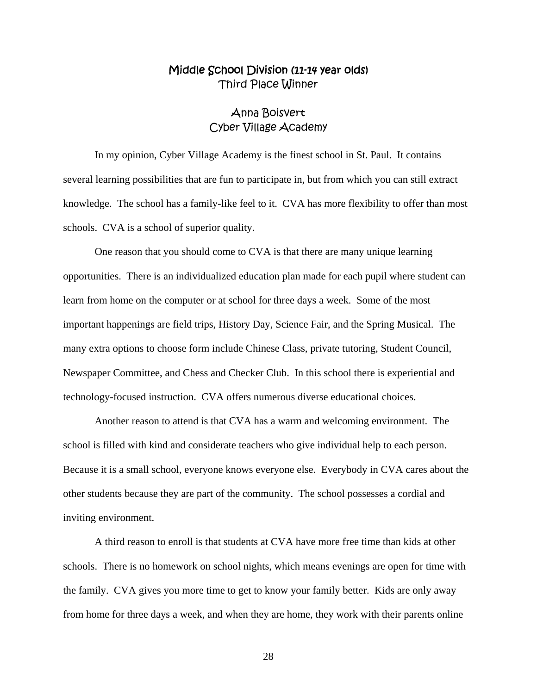## Middle School Division (11-14 year olds) Third Place Winner

## Anna Boisvert Cyber Village Academy

 In my opinion, Cyber Village Academy is the finest school in St. Paul. It contains several learning possibilities that are fun to participate in, but from which you can still extract knowledge. The school has a family-like feel to it. CVA has more flexibility to offer than most schools. CVA is a school of superior quality.

 One reason that you should come to CVA is that there are many unique learning opportunities. There is an individualized education plan made for each pupil where student can learn from home on the computer or at school for three days a week. Some of the most important happenings are field trips, History Day, Science Fair, and the Spring Musical. The many extra options to choose form include Chinese Class, private tutoring, Student Council, Newspaper Committee, and Chess and Checker Club. In this school there is experiential and technology-focused instruction. CVA offers numerous diverse educational choices.

 Another reason to attend is that CVA has a warm and welcoming environment. The school is filled with kind and considerate teachers who give individual help to each person. Because it is a small school, everyone knows everyone else. Everybody in CVA cares about the other students because they are part of the community. The school possesses a cordial and inviting environment.

 A third reason to enroll is that students at CVA have more free time than kids at other schools. There is no homework on school nights, which means evenings are open for time with the family. CVA gives you more time to get to know your family better. Kids are only away from home for three days a week, and when they are home, they work with their parents online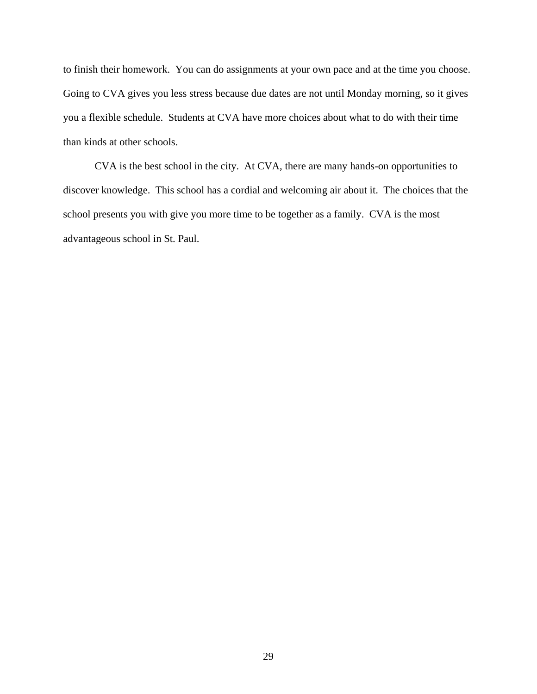to finish their homework. You can do assignments at your own pace and at the time you choose. Going to CVA gives you less stress because due dates are not until Monday morning, so it gives you a flexible schedule. Students at CVA have more choices about what to do with their time than kinds at other schools.

 CVA is the best school in the city. At CVA, there are many hands-on opportunities to discover knowledge. This school has a cordial and welcoming air about it. The choices that the school presents you with give you more time to be together as a family. CVA is the most advantageous school in St. Paul.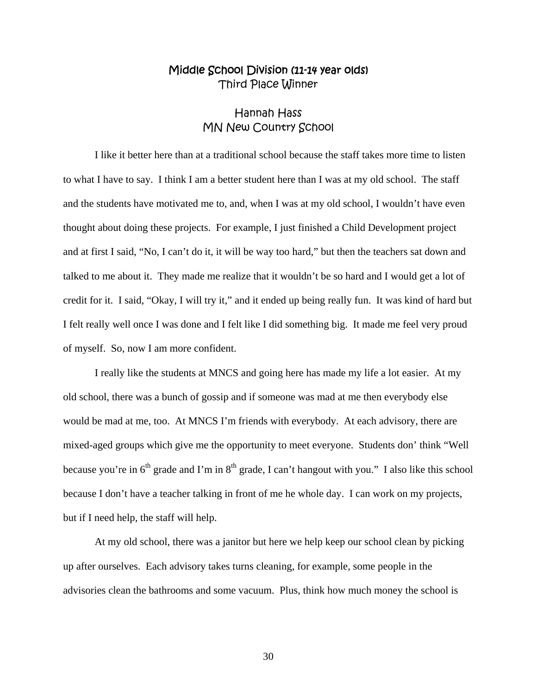## Middle School Division (11-14 year olds) Third Place Winner

## Hannah Hass MN New Country School

I like it better here than at a traditional school because the staff takes more time to listen to what I have to say. I think I am a better student here than I was at my old school. The staff and the students have motivated me to, and, when I was at my old school, I wouldn't have even thought about doing these projects. For example, I just finished a Child Development project and at first I said, "No, I can't do it, it will be way too hard," but then the teachers sat down and talked to me about it. They made me realize that it wouldn't be so hard and I would get a lot of credit for it. I said, "Okay, I will try it," and it ended up being really fun. It was kind of hard but I felt really well once I was done and I felt like I did something big. It made me feel very proud of myself. So, now I am more confident.

I really like the students at MNCS and going here has made my life a lot easier. At my old school, there was a bunch of gossip and if someone was mad at me then everybody else would be mad at me, too. At MNCS I'm friends with everybody. At each advisory, there are mixed-aged groups which give me the opportunity to meet everyone. Students don' think "Well because you're in  $6<sup>th</sup>$  grade and I'm in  $8<sup>th</sup>$  grade, I can't hangout with you." I also like this school because I don't have a teacher talking in front of me he whole day. I can work on my projects, but if I need help, the staff will help.

At my old school, there was a janitor but here we help keep our school clean by picking up after ourselves. Each advisory takes turns cleaning, for example, some people in the advisories clean the bathrooms and some vacuum. Plus, think how much money the school is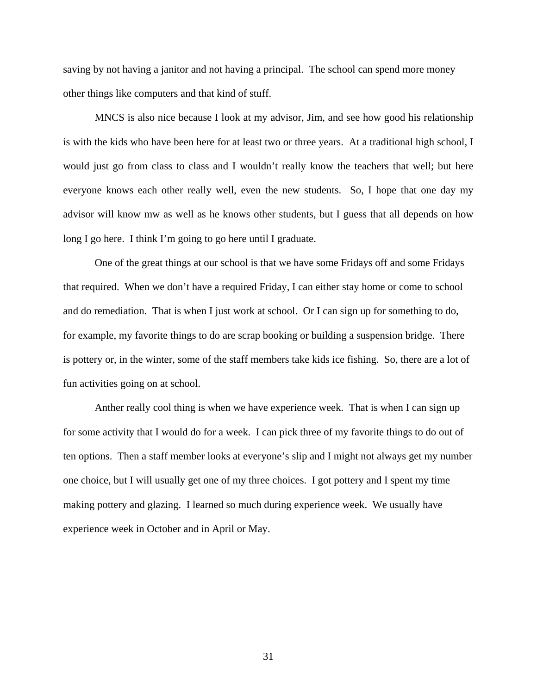saving by not having a janitor and not having a principal. The school can spend more money other things like computers and that kind of stuff.

MNCS is also nice because I look at my advisor, Jim, and see how good his relationship is with the kids who have been here for at least two or three years. At a traditional high school, I would just go from class to class and I wouldn't really know the teachers that well; but here everyone knows each other really well, even the new students. So, I hope that one day my advisor will know mw as well as he knows other students, but I guess that all depends on how long I go here. I think I'm going to go here until I graduate.

One of the great things at our school is that we have some Fridays off and some Fridays that required. When we don't have a required Friday, I can either stay home or come to school and do remediation. That is when I just work at school. Or I can sign up for something to do, for example, my favorite things to do are scrap booking or building a suspension bridge. There is pottery or, in the winter, some of the staff members take kids ice fishing. So, there are a lot of fun activities going on at school.

Anther really cool thing is when we have experience week. That is when I can sign up for some activity that I would do for a week. I can pick three of my favorite things to do out of ten options. Then a staff member looks at everyone's slip and I might not always get my number one choice, but I will usually get one of my three choices. I got pottery and I spent my time making pottery and glazing. I learned so much during experience week. We usually have experience week in October and in April or May.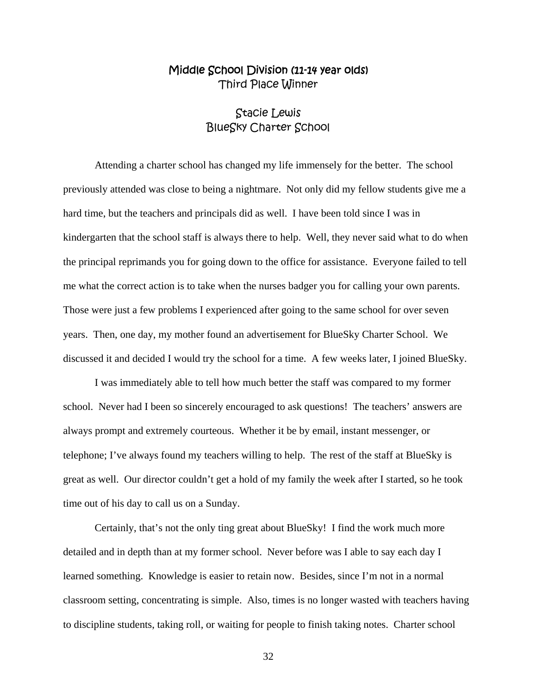## Middle School Division (11-14 year olds) Third Place Winner

## Stacie Lewis BlueSky Charter School

Attending a charter school has changed my life immensely for the better. The school previously attended was close to being a nightmare. Not only did my fellow students give me a hard time, but the teachers and principals did as well. I have been told since I was in kindergarten that the school staff is always there to help. Well, they never said what to do when the principal reprimands you for going down to the office for assistance. Everyone failed to tell me what the correct action is to take when the nurses badger you for calling your own parents. Those were just a few problems I experienced after going to the same school for over seven years. Then, one day, my mother found an advertisement for BlueSky Charter School. We discussed it and decided I would try the school for a time. A few weeks later, I joined BlueSky.

I was immediately able to tell how much better the staff was compared to my former school. Never had I been so sincerely encouraged to ask questions! The teachers' answers are always prompt and extremely courteous. Whether it be by email, instant messenger, or telephone; I've always found my teachers willing to help. The rest of the staff at BlueSky is great as well. Our director couldn't get a hold of my family the week after I started, so he took time out of his day to call us on a Sunday.

Certainly, that's not the only ting great about BlueSky! I find the work much more detailed and in depth than at my former school. Never before was I able to say each day I learned something. Knowledge is easier to retain now. Besides, since I'm not in a normal classroom setting, concentrating is simple. Also, times is no longer wasted with teachers having to discipline students, taking roll, or waiting for people to finish taking notes. Charter school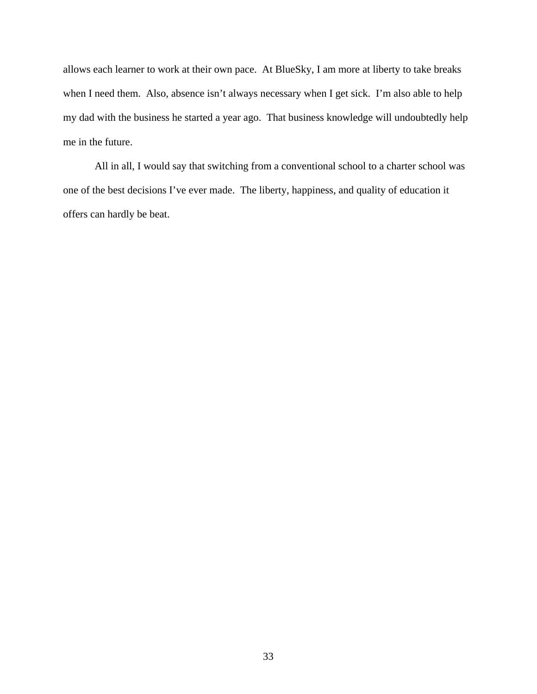allows each learner to work at their own pace. At BlueSky, I am more at liberty to take breaks when I need them. Also, absence isn't always necessary when I get sick. I'm also able to help my dad with the business he started a year ago. That business knowledge will undoubtedly help me in the future.

All in all, I would say that switching from a conventional school to a charter school was one of the best decisions I've ever made. The liberty, happiness, and quality of education it offers can hardly be beat.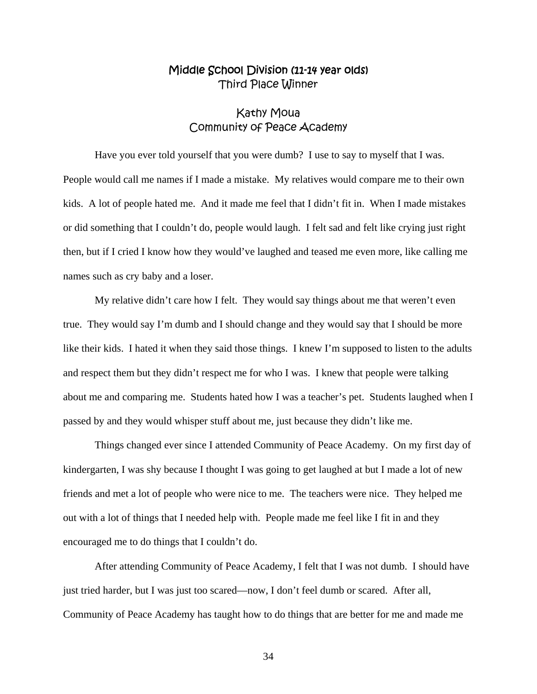## Middle School Division (11-14 year olds) Third Place Winner

## Kathy Moua Community of Peace Academy

 Have you ever told yourself that you were dumb? I use to say to myself that I was. People would call me names if I made a mistake. My relatives would compare me to their own kids. A lot of people hated me. And it made me feel that I didn't fit in. When I made mistakes or did something that I couldn't do, people would laugh. I felt sad and felt like crying just right then, but if I cried I know how they would've laughed and teased me even more, like calling me names such as cry baby and a loser.

 My relative didn't care how I felt. They would say things about me that weren't even true. They would say I'm dumb and I should change and they would say that I should be more like their kids. I hated it when they said those things. I knew I'm supposed to listen to the adults and respect them but they didn't respect me for who I was. I knew that people were talking about me and comparing me. Students hated how I was a teacher's pet. Students laughed when I passed by and they would whisper stuff about me, just because they didn't like me.

 Things changed ever since I attended Community of Peace Academy. On my first day of kindergarten, I was shy because I thought I was going to get laughed at but I made a lot of new friends and met a lot of people who were nice to me. The teachers were nice. They helped me out with a lot of things that I needed help with. People made me feel like I fit in and they encouraged me to do things that I couldn't do.

 After attending Community of Peace Academy, I felt that I was not dumb. I should have just tried harder, but I was just too scared—now, I don't feel dumb or scared. After all, Community of Peace Academy has taught how to do things that are better for me and made me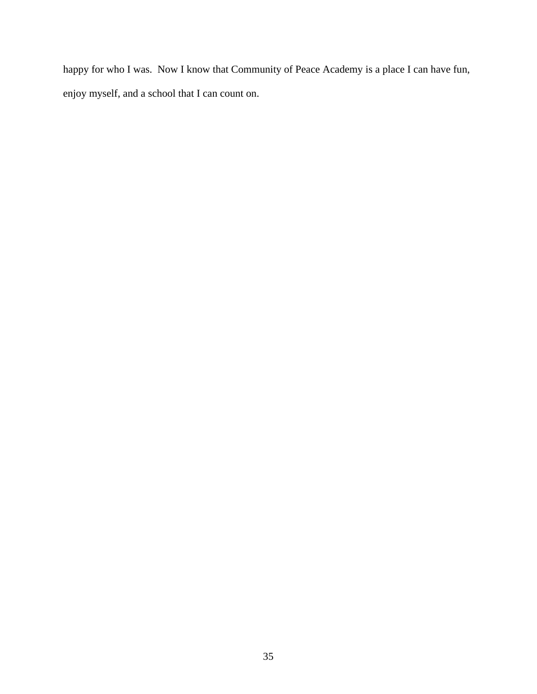happy for who I was. Now I know that Community of Peace Academy is a place I can have fun, enjoy myself, and a school that I can count on.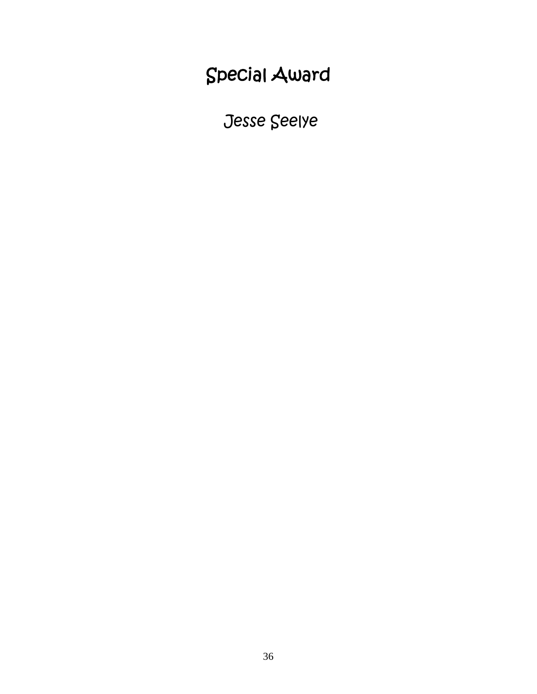## Special Award

Jesse Seelye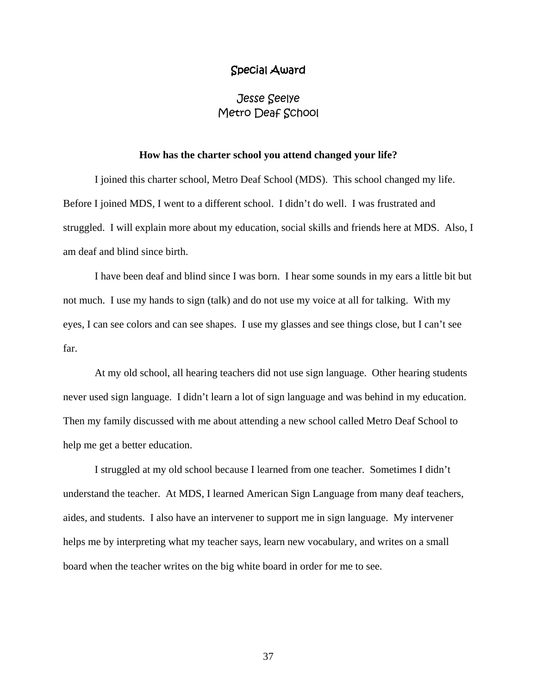#### Special Award

## Jesse Seelye Metro Deaf School

#### **How has the charter school you attend changed your life?**

I joined this charter school, Metro Deaf School (MDS). This school changed my life. Before I joined MDS, I went to a different school. I didn't do well. I was frustrated and struggled. I will explain more about my education, social skills and friends here at MDS. Also, I am deaf and blind since birth.

I have been deaf and blind since I was born. I hear some sounds in my ears a little bit but not much. I use my hands to sign (talk) and do not use my voice at all for talking. With my eyes, I can see colors and can see shapes. I use my glasses and see things close, but I can't see far.

At my old school, all hearing teachers did not use sign language. Other hearing students never used sign language. I didn't learn a lot of sign language and was behind in my education. Then my family discussed with me about attending a new school called Metro Deaf School to help me get a better education.

I struggled at my old school because I learned from one teacher. Sometimes I didn't understand the teacher. At MDS, I learned American Sign Language from many deaf teachers, aides, and students. I also have an intervener to support me in sign language. My intervener helps me by interpreting what my teacher says, learn new vocabulary, and writes on a small board when the teacher writes on the big white board in order for me to see.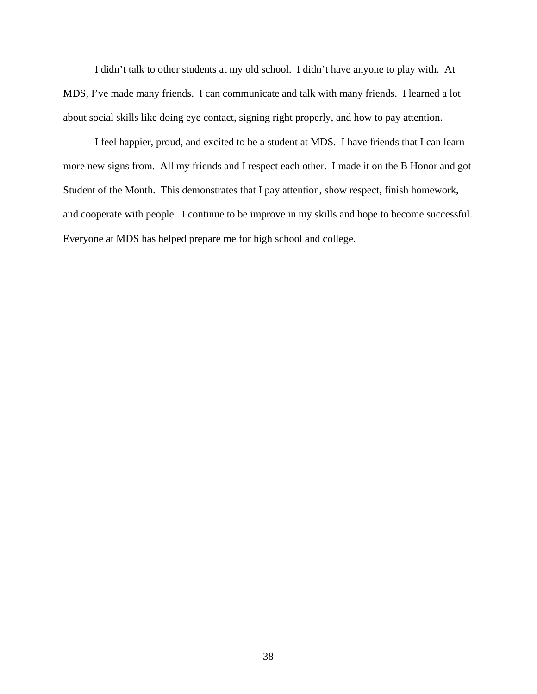I didn't talk to other students at my old school. I didn't have anyone to play with. At MDS, I've made many friends. I can communicate and talk with many friends. I learned a lot about social skills like doing eye contact, signing right properly, and how to pay attention.

I feel happier, proud, and excited to be a student at MDS. I have friends that I can learn more new signs from. All my friends and I respect each other. I made it on the B Honor and got Student of the Month. This demonstrates that I pay attention, show respect, finish homework, and cooperate with people. I continue to be improve in my skills and hope to become successful. Everyone at MDS has helped prepare me for high school and college.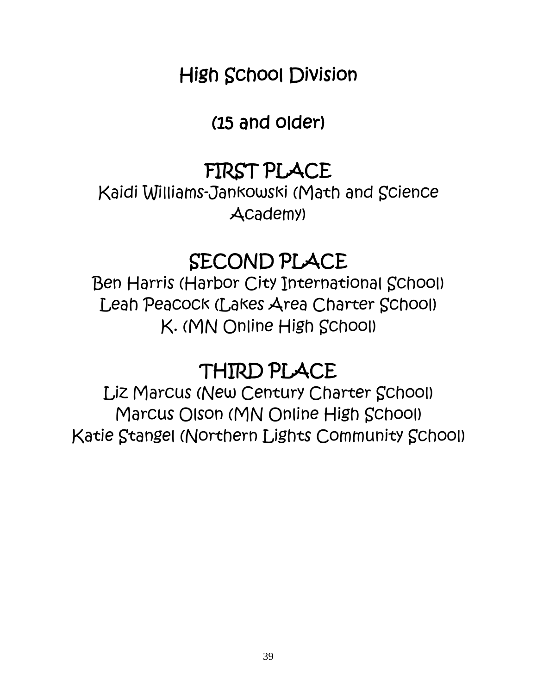## High School Division

## (15 and older)

## FIRST PLACE

Kaidi Williams-Jankowski (Math and Science Academy)

## SECOND PLACE

Ben Harris (Harbor City International School) Leah Peacock (Lakes Area Charter School) K. (MN Online High School)

## THIRD PLACE

Liz Marcus (New Century Charter School) Marcus Olson (MN Online High School) Katie Stangel (Northern Lights Community School)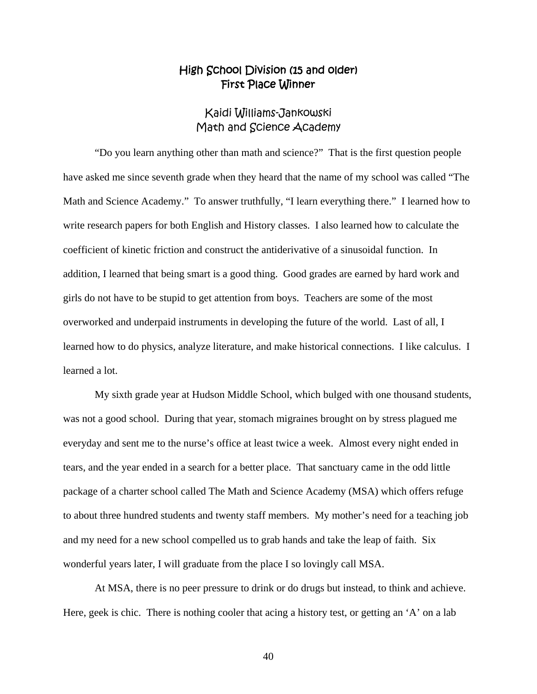## High School Division (15 and older) First Place Winner

## Kaidi Williams-Jankowski Math and Science Academy

 "Do you learn anything other than math and science?" That is the first question people have asked me since seventh grade when they heard that the name of my school was called "The Math and Science Academy." To answer truthfully, "I learn everything there." I learned how to write research papers for both English and History classes. I also learned how to calculate the coefficient of kinetic friction and construct the antiderivative of a sinusoidal function. In addition, I learned that being smart is a good thing. Good grades are earned by hard work and girls do not have to be stupid to get attention from boys. Teachers are some of the most overworked and underpaid instruments in developing the future of the world. Last of all, I learned how to do physics, analyze literature, and make historical connections. I like calculus. I learned a lot.

 My sixth grade year at Hudson Middle School, which bulged with one thousand students, was not a good school. During that year, stomach migraines brought on by stress plagued me everyday and sent me to the nurse's office at least twice a week. Almost every night ended in tears, and the year ended in a search for a better place. That sanctuary came in the odd little package of a charter school called The Math and Science Academy (MSA) which offers refuge to about three hundred students and twenty staff members. My mother's need for a teaching job and my need for a new school compelled us to grab hands and take the leap of faith. Six wonderful years later, I will graduate from the place I so lovingly call MSA.

 At MSA, there is no peer pressure to drink or do drugs but instead, to think and achieve. Here, geek is chic. There is nothing cooler that acing a history test, or getting an 'A' on a lab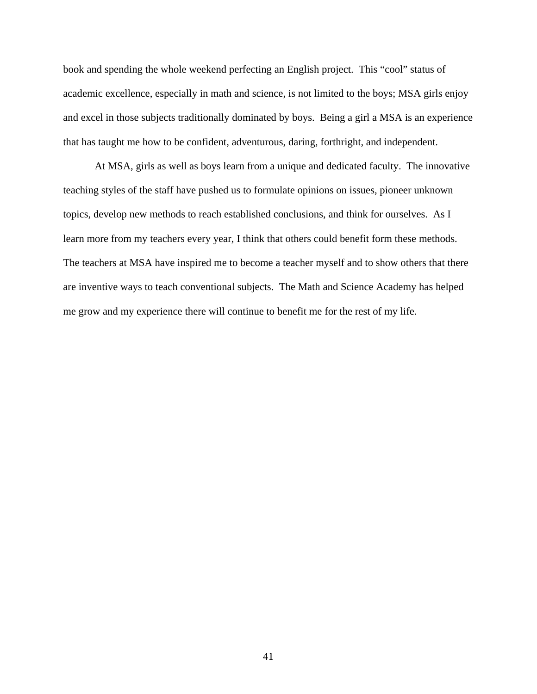book and spending the whole weekend perfecting an English project. This "cool" status of academic excellence, especially in math and science, is not limited to the boys; MSA girls enjoy and excel in those subjects traditionally dominated by boys. Being a girl a MSA is an experience that has taught me how to be confident, adventurous, daring, forthright, and independent.

 At MSA, girls as well as boys learn from a unique and dedicated faculty. The innovative teaching styles of the staff have pushed us to formulate opinions on issues, pioneer unknown topics, develop new methods to reach established conclusions, and think for ourselves. As I learn more from my teachers every year, I think that others could benefit form these methods. The teachers at MSA have inspired me to become a teacher myself and to show others that there are inventive ways to teach conventional subjects. The Math and Science Academy has helped me grow and my experience there will continue to benefit me for the rest of my life.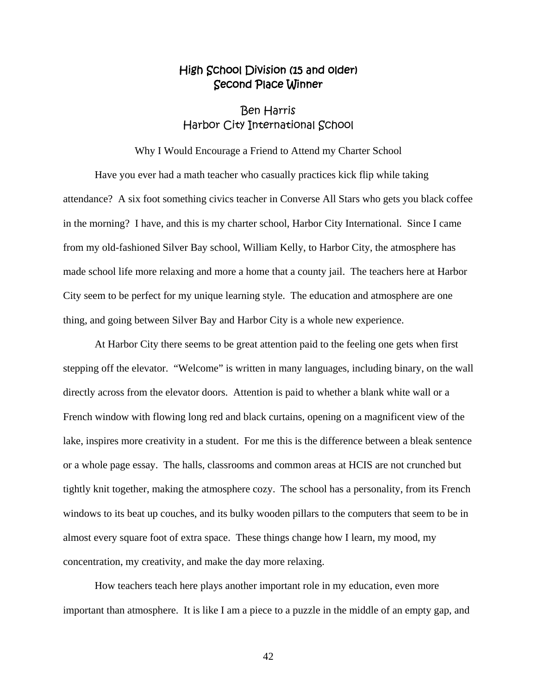## High School Division (15 and older) Second Place Winner

## Ben Harris Harbor City International School

#### Why I Would Encourage a Friend to Attend my Charter School

 Have you ever had a math teacher who casually practices kick flip while taking attendance? A six foot something civics teacher in Converse All Stars who gets you black coffee in the morning? I have, and this is my charter school, Harbor City International. Since I came from my old-fashioned Silver Bay school, William Kelly, to Harbor City, the atmosphere has made school life more relaxing and more a home that a county jail. The teachers here at Harbor City seem to be perfect for my unique learning style. The education and atmosphere are one thing, and going between Silver Bay and Harbor City is a whole new experience.

 At Harbor City there seems to be great attention paid to the feeling one gets when first stepping off the elevator. "Welcome" is written in many languages, including binary, on the wall directly across from the elevator doors. Attention is paid to whether a blank white wall or a French window with flowing long red and black curtains, opening on a magnificent view of the lake, inspires more creativity in a student. For me this is the difference between a bleak sentence or a whole page essay. The halls, classrooms and common areas at HCIS are not crunched but tightly knit together, making the atmosphere cozy. The school has a personality, from its French windows to its beat up couches, and its bulky wooden pillars to the computers that seem to be in almost every square foot of extra space. These things change how I learn, my mood, my concentration, my creativity, and make the day more relaxing.

 How teachers teach here plays another important role in my education, even more important than atmosphere. It is like I am a piece to a puzzle in the middle of an empty gap, and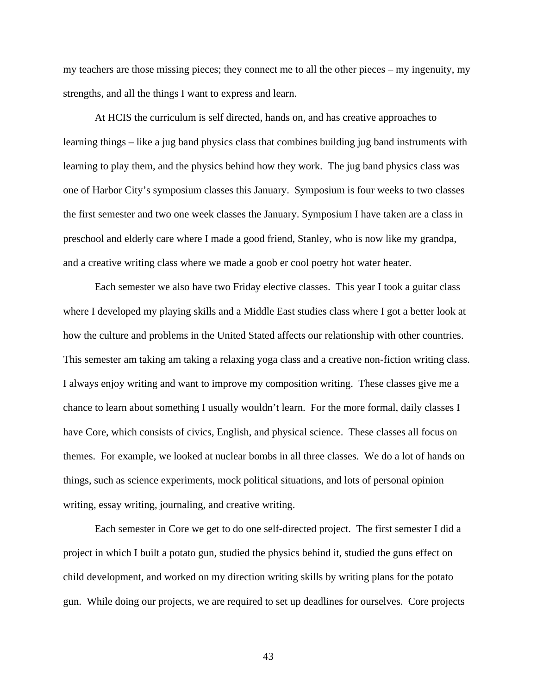my teachers are those missing pieces; they connect me to all the other pieces – my ingenuity, my strengths, and all the things I want to express and learn.

 At HCIS the curriculum is self directed, hands on, and has creative approaches to learning things – like a jug band physics class that combines building jug band instruments with learning to play them, and the physics behind how they work. The jug band physics class was one of Harbor City's symposium classes this January. Symposium is four weeks to two classes the first semester and two one week classes the January. Symposium I have taken are a class in preschool and elderly care where I made a good friend, Stanley, who is now like my grandpa, and a creative writing class where we made a goob er cool poetry hot water heater.

 Each semester we also have two Friday elective classes. This year I took a guitar class where I developed my playing skills and a Middle East studies class where I got a better look at how the culture and problems in the United Stated affects our relationship with other countries. This semester am taking am taking a relaxing yoga class and a creative non-fiction writing class. I always enjoy writing and want to improve my composition writing. These classes give me a chance to learn about something I usually wouldn't learn. For the more formal, daily classes I have Core, which consists of civics, English, and physical science. These classes all focus on themes. For example, we looked at nuclear bombs in all three classes. We do a lot of hands on things, such as science experiments, mock political situations, and lots of personal opinion writing, essay writing, journaling, and creative writing.

 Each semester in Core we get to do one self-directed project. The first semester I did a project in which I built a potato gun, studied the physics behind it, studied the guns effect on child development, and worked on my direction writing skills by writing plans for the potato gun. While doing our projects, we are required to set up deadlines for ourselves. Core projects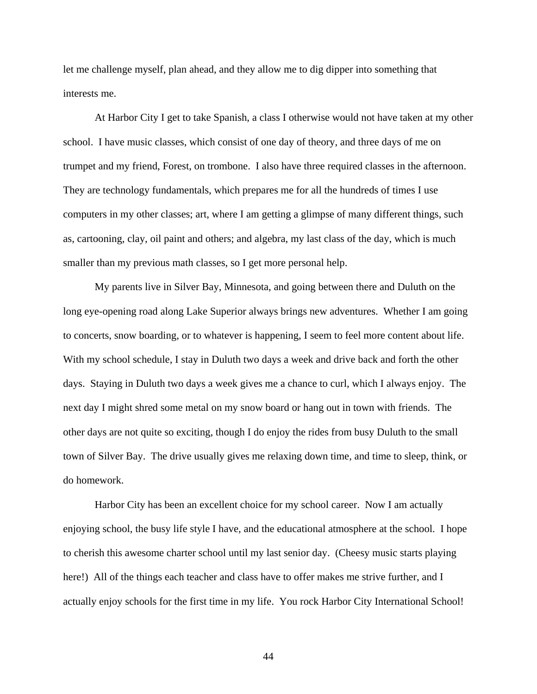let me challenge myself, plan ahead, and they allow me to dig dipper into something that interests me.

 At Harbor City I get to take Spanish, a class I otherwise would not have taken at my other school. I have music classes, which consist of one day of theory, and three days of me on trumpet and my friend, Forest, on trombone. I also have three required classes in the afternoon. They are technology fundamentals, which prepares me for all the hundreds of times I use computers in my other classes; art, where I am getting a glimpse of many different things, such as, cartooning, clay, oil paint and others; and algebra, my last class of the day, which is much smaller than my previous math classes, so I get more personal help.

 My parents live in Silver Bay, Minnesota, and going between there and Duluth on the long eye-opening road along Lake Superior always brings new adventures. Whether I am going to concerts, snow boarding, or to whatever is happening, I seem to feel more content about life. With my school schedule, I stay in Duluth two days a week and drive back and forth the other days. Staying in Duluth two days a week gives me a chance to curl, which I always enjoy. The next day I might shred some metal on my snow board or hang out in town with friends. The other days are not quite so exciting, though I do enjoy the rides from busy Duluth to the small town of Silver Bay. The drive usually gives me relaxing down time, and time to sleep, think, or do homework.

 Harbor City has been an excellent choice for my school career. Now I am actually enjoying school, the busy life style I have, and the educational atmosphere at the school. I hope to cherish this awesome charter school until my last senior day. (Cheesy music starts playing here!) All of the things each teacher and class have to offer makes me strive further, and I actually enjoy schools for the first time in my life. You rock Harbor City International School!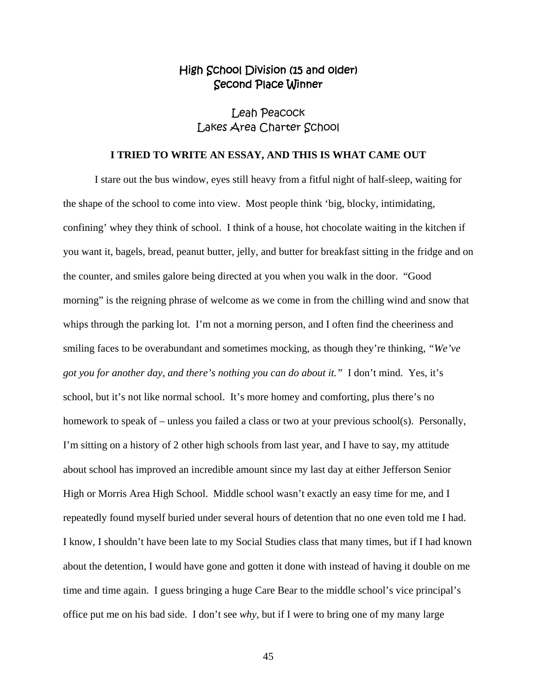## High School Division (15 and older) Second Place Winner

## Leah Peacock Lakes Area Charter School

#### **I TRIED TO WRITE AN ESSAY, AND THIS IS WHAT CAME OUT**

I stare out the bus window, eyes still heavy from a fitful night of half-sleep, waiting for the shape of the school to come into view. Most people think 'big, blocky, intimidating, confining' whey they think of school. I think of a house, hot chocolate waiting in the kitchen if you want it, bagels, bread, peanut butter, jelly, and butter for breakfast sitting in the fridge and on the counter, and smiles galore being directed at you when you walk in the door. "Good morning" is the reigning phrase of welcome as we come in from the chilling wind and snow that whips through the parking lot. I'm not a morning person, and I often find the cheeriness and smiling faces to be overabundant and sometimes mocking, as though they're thinking, *"We've got you for another day, and there's nothing you can do about it."* I don't mind. Yes, it's school, but it's not like normal school. It's more homey and comforting, plus there's no homework to speak of – unless you failed a class or two at your previous school(s). Personally, I'm sitting on a history of 2 other high schools from last year, and I have to say, my attitude about school has improved an incredible amount since my last day at either Jefferson Senior High or Morris Area High School. Middle school wasn't exactly an easy time for me, and I repeatedly found myself buried under several hours of detention that no one even told me I had. I know, I shouldn't have been late to my Social Studies class that many times, but if I had known about the detention, I would have gone and gotten it done with instead of having it double on me time and time again. I guess bringing a huge Care Bear to the middle school's vice principal's office put me on his bad side. I don't see *why*, but if I were to bring one of my many large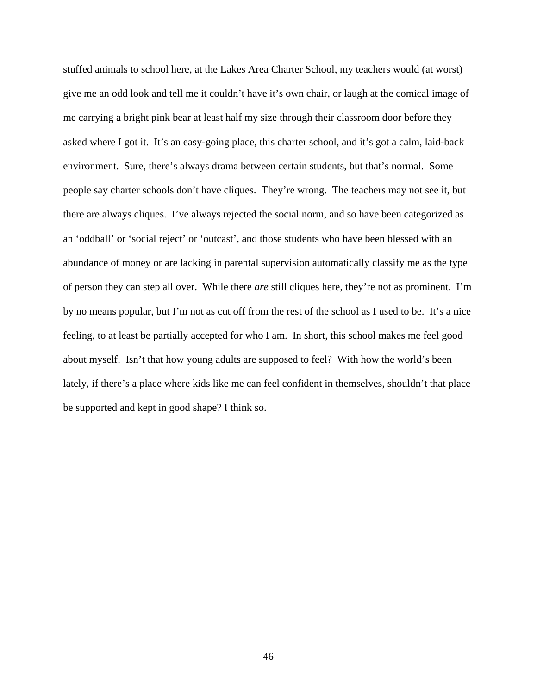stuffed animals to school here, at the Lakes Area Charter School, my teachers would (at worst) give me an odd look and tell me it couldn't have it's own chair, or laugh at the comical image of me carrying a bright pink bear at least half my size through their classroom door before they asked where I got it. It's an easy-going place, this charter school, and it's got a calm, laid-back environment. Sure, there's always drama between certain students, but that's normal. Some people say charter schools don't have cliques. They're wrong. The teachers may not see it, but there are always cliques. I've always rejected the social norm, and so have been categorized as an 'oddball' or 'social reject' or 'outcast', and those students who have been blessed with an abundance of money or are lacking in parental supervision automatically classify me as the type of person they can step all over. While there *are* still cliques here, they're not as prominent. I'm by no means popular, but I'm not as cut off from the rest of the school as I used to be. It's a nice feeling, to at least be partially accepted for who I am. In short, this school makes me feel good about myself. Isn't that how young adults are supposed to feel? With how the world's been lately, if there's a place where kids like me can feel confident in themselves, shouldn't that place be supported and kept in good shape? I think so.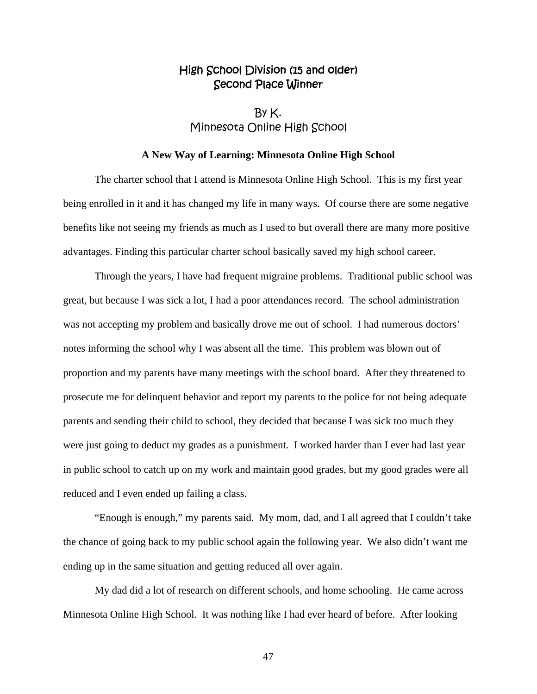## High School Division (15 and older) Second Place Winner

 $By K.$ Minnesota Online High School

#### **A New Way of Learning: Minnesota Online High School**

The charter school that I attend is Minnesota Online High School. This is my first year being enrolled in it and it has changed my life in many ways. Of course there are some negative benefits like not seeing my friends as much as I used to but overall there are many more positive advantages. Finding this particular charter school basically saved my high school career.

Through the years, I have had frequent migraine problems. Traditional public school was great, but because I was sick a lot, I had a poor attendances record. The school administration was not accepting my problem and basically drove me out of school. I had numerous doctors' notes informing the school why I was absent all the time. This problem was blown out of proportion and my parents have many meetings with the school board. After they threatened to prosecute me for delinquent behavior and report my parents to the police for not being adequate parents and sending their child to school, they decided that because I was sick too much they were just going to deduct my grades as a punishment. I worked harder than I ever had last year in public school to catch up on my work and maintain good grades, but my good grades were all reduced and I even ended up failing a class.

"Enough is enough," my parents said. My mom, dad, and I all agreed that I couldn't take the chance of going back to my public school again the following year. We also didn't want me ending up in the same situation and getting reduced all over again.

My dad did a lot of research on different schools, and home schooling. He came across Minnesota Online High School. It was nothing like I had ever heard of before. After looking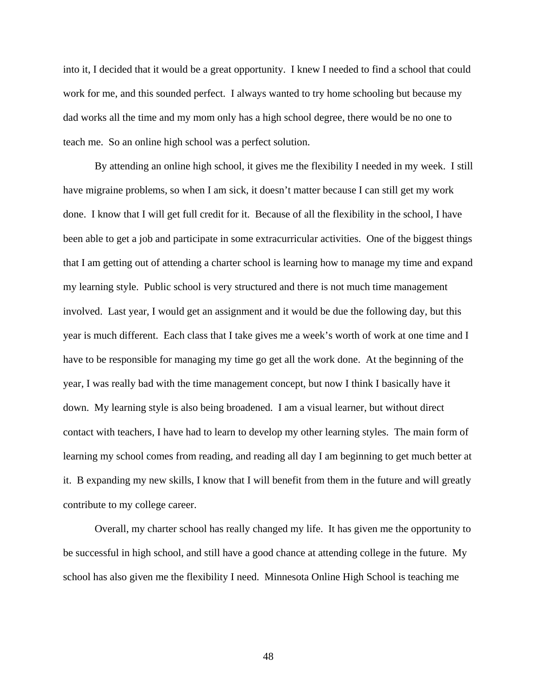into it, I decided that it would be a great opportunity. I knew I needed to find a school that could work for me, and this sounded perfect. I always wanted to try home schooling but because my dad works all the time and my mom only has a high school degree, there would be no one to teach me. So an online high school was a perfect solution.

By attending an online high school, it gives me the flexibility I needed in my week. I still have migraine problems, so when I am sick, it doesn't matter because I can still get my work done. I know that I will get full credit for it. Because of all the flexibility in the school, I have been able to get a job and participate in some extracurricular activities. One of the biggest things that I am getting out of attending a charter school is learning how to manage my time and expand my learning style. Public school is very structured and there is not much time management involved. Last year, I would get an assignment and it would be due the following day, but this year is much different. Each class that I take gives me a week's worth of work at one time and I have to be responsible for managing my time go get all the work done. At the beginning of the year, I was really bad with the time management concept, but now I think I basically have it down. My learning style is also being broadened. I am a visual learner, but without direct contact with teachers, I have had to learn to develop my other learning styles. The main form of learning my school comes from reading, and reading all day I am beginning to get much better at it. B expanding my new skills, I know that I will benefit from them in the future and will greatly contribute to my college career.

Overall, my charter school has really changed my life. It has given me the opportunity to be successful in high school, and still have a good chance at attending college in the future. My school has also given me the flexibility I need. Minnesota Online High School is teaching me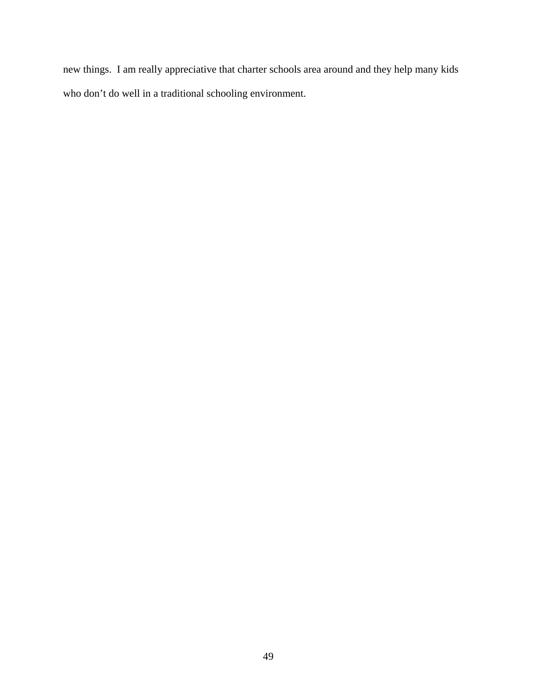new things. I am really appreciative that charter schools area around and they help many kids who don't do well in a traditional schooling environment.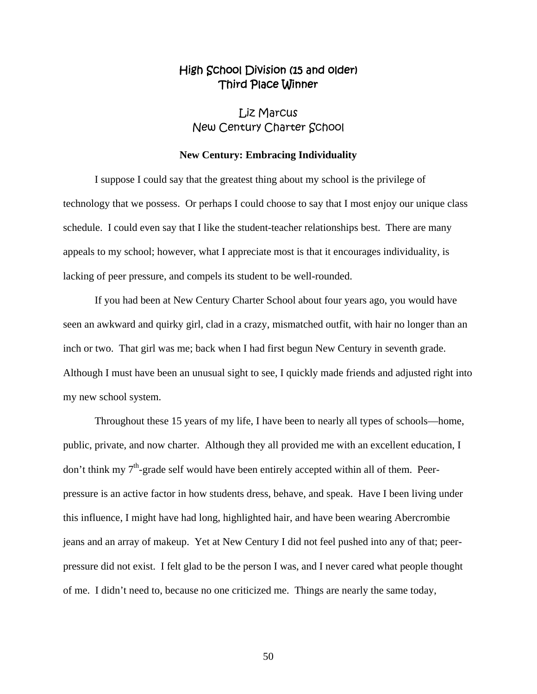## High School Division (15 and older) Third Place Winner

Liz Marcus New Century Charter School

#### **New Century: Embracing Individuality**

 I suppose I could say that the greatest thing about my school is the privilege of technology that we possess. Or perhaps I could choose to say that I most enjoy our unique class schedule. I could even say that I like the student-teacher relationships best. There are many appeals to my school; however, what I appreciate most is that it encourages individuality, is lacking of peer pressure, and compels its student to be well-rounded.

 If you had been at New Century Charter School about four years ago, you would have seen an awkward and quirky girl, clad in a crazy, mismatched outfit, with hair no longer than an inch or two. That girl was me; back when I had first begun New Century in seventh grade. Although I must have been an unusual sight to see, I quickly made friends and adjusted right into my new school system.

 Throughout these 15 years of my life, I have been to nearly all types of schools—home, public, private, and now charter. Although they all provided me with an excellent education, I don't think my 7<sup>th</sup>-grade self would have been entirely accepted within all of them. Peerpressure is an active factor in how students dress, behave, and speak. Have I been living under this influence, I might have had long, highlighted hair, and have been wearing Abercrombie jeans and an array of makeup. Yet at New Century I did not feel pushed into any of that; peerpressure did not exist. I felt glad to be the person I was, and I never cared what people thought of me. I didn't need to, because no one criticized me. Things are nearly the same today,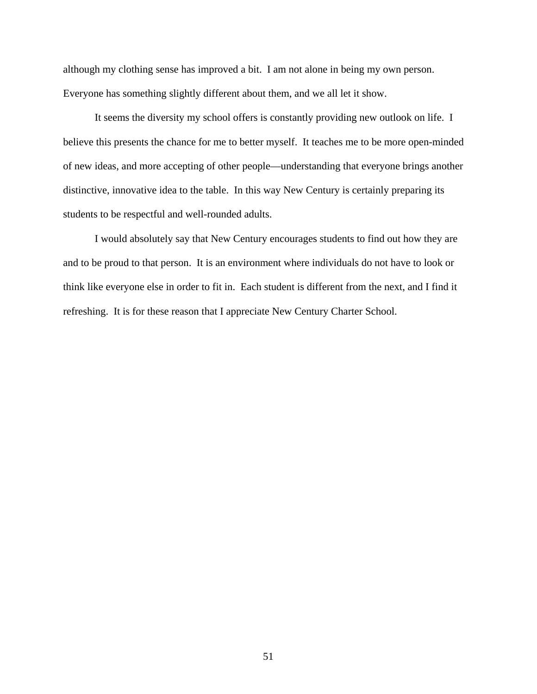although my clothing sense has improved a bit. I am not alone in being my own person. Everyone has something slightly different about them, and we all let it show.

 It seems the diversity my school offers is constantly providing new outlook on life. I believe this presents the chance for me to better myself. It teaches me to be more open-minded of new ideas, and more accepting of other people—understanding that everyone brings another distinctive, innovative idea to the table. In this way New Century is certainly preparing its students to be respectful and well-rounded adults.

 I would absolutely say that New Century encourages students to find out how they are and to be proud to that person. It is an environment where individuals do not have to look or think like everyone else in order to fit in. Each student is different from the next, and I find it refreshing. It is for these reason that I appreciate New Century Charter School.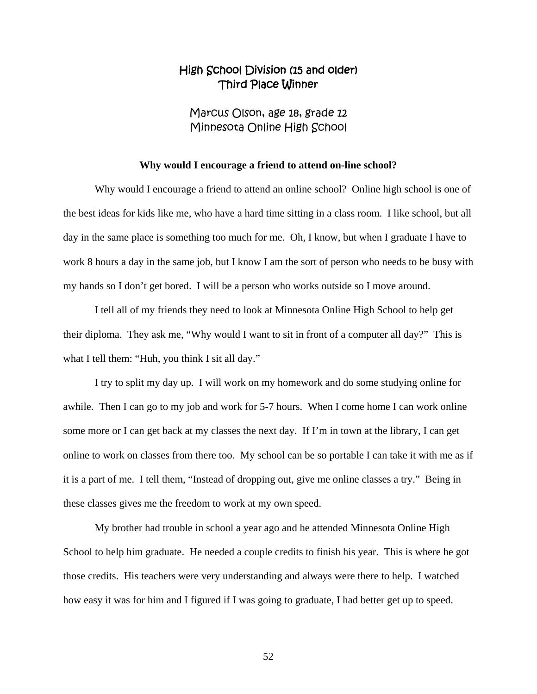## High School Division (15 and older) Third Place Winner

Marcus Olson, age 18, grade 12 Minnesota Online High School

#### **Why would I encourage a friend to attend on-line school?**

Why would I encourage a friend to attend an online school? Online high school is one of the best ideas for kids like me, who have a hard time sitting in a class room. I like school, but all day in the same place is something too much for me. Oh, I know, but when I graduate I have to work 8 hours a day in the same job, but I know I am the sort of person who needs to be busy with my hands so I don't get bored. I will be a person who works outside so I move around.

 I tell all of my friends they need to look at Minnesota Online High School to help get their diploma. They ask me, "Why would I want to sit in front of a computer all day?" This is what I tell them: "Huh, you think I sit all day."

 I try to split my day up. I will work on my homework and do some studying online for awhile. Then I can go to my job and work for 5-7 hours. When I come home I can work online some more or I can get back at my classes the next day. If I'm in town at the library, I can get online to work on classes from there too. My school can be so portable I can take it with me as if it is a part of me. I tell them, "Instead of dropping out, give me online classes a try." Being in these classes gives me the freedom to work at my own speed.

 My brother had trouble in school a year ago and he attended Minnesota Online High School to help him graduate. He needed a couple credits to finish his year. This is where he got those credits. His teachers were very understanding and always were there to help. I watched how easy it was for him and I figured if I was going to graduate, I had better get up to speed.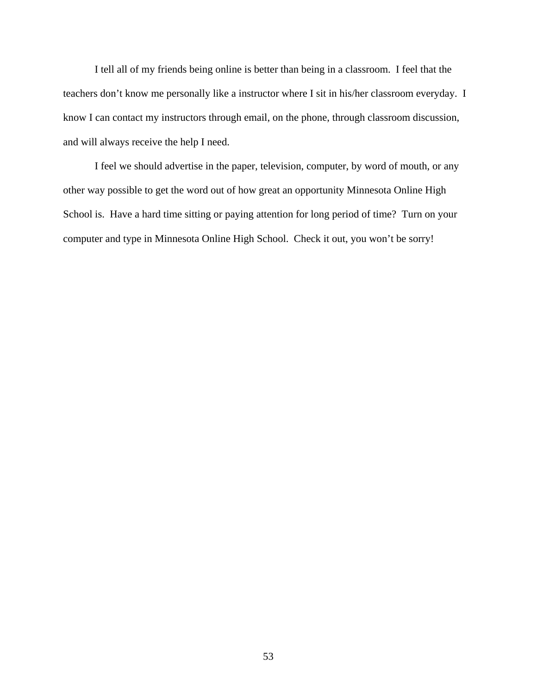I tell all of my friends being online is better than being in a classroom. I feel that the teachers don't know me personally like a instructor where I sit in his/her classroom everyday. I know I can contact my instructors through email, on the phone, through classroom discussion, and will always receive the help I need.

 I feel we should advertise in the paper, television, computer, by word of mouth, or any other way possible to get the word out of how great an opportunity Minnesota Online High School is. Have a hard time sitting or paying attention for long period of time? Turn on your computer and type in Minnesota Online High School. Check it out, you won't be sorry!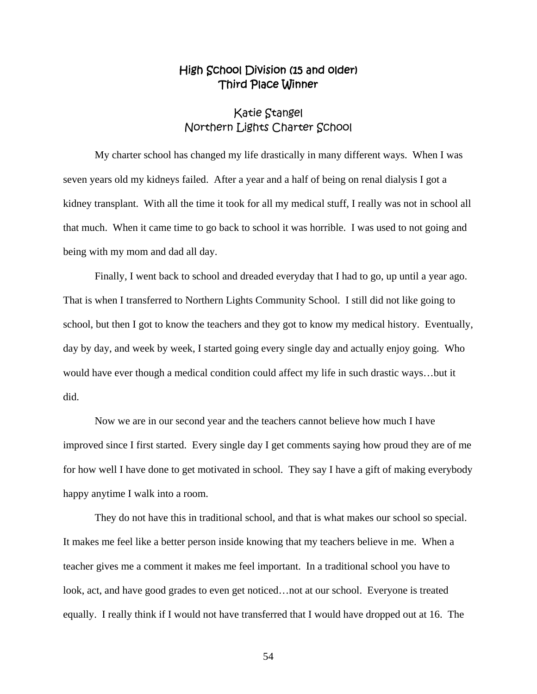## High School Division (15 and older) Third Place Winner

## Katie Stangel Northern Lights Charter School

 My charter school has changed my life drastically in many different ways. When I was seven years old my kidneys failed. After a year and a half of being on renal dialysis I got a kidney transplant. With all the time it took for all my medical stuff, I really was not in school all that much. When it came time to go back to school it was horrible. I was used to not going and being with my mom and dad all day.

 Finally, I went back to school and dreaded everyday that I had to go, up until a year ago. That is when I transferred to Northern Lights Community School. I still did not like going to school, but then I got to know the teachers and they got to know my medical history. Eventually, day by day, and week by week, I started going every single day and actually enjoy going. Who would have ever though a medical condition could affect my life in such drastic ways…but it did.

 Now we are in our second year and the teachers cannot believe how much I have improved since I first started. Every single day I get comments saying how proud they are of me for how well I have done to get motivated in school. They say I have a gift of making everybody happy anytime I walk into a room.

 They do not have this in traditional school, and that is what makes our school so special. It makes me feel like a better person inside knowing that my teachers believe in me. When a teacher gives me a comment it makes me feel important. In a traditional school you have to look, act, and have good grades to even get noticed…not at our school. Everyone is treated equally. I really think if I would not have transferred that I would have dropped out at 16. The